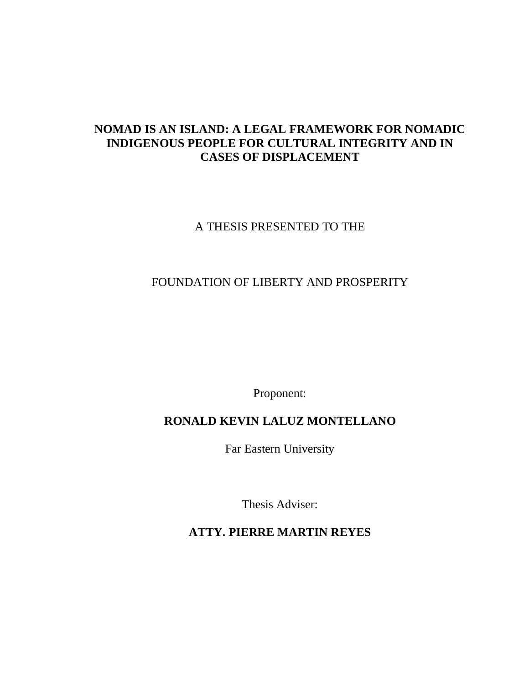# **NOMAD IS AN ISLAND: A LEGAL FRAMEWORK FOR NOMADIC INDIGENOUS PEOPLE FOR CULTURAL INTEGRITY AND IN CASES OF DISPLACEMENT**

## A THESIS PRESENTED TO THE

# FOUNDATION OF LIBERTY AND PROSPERITY

Proponent:

# **RONALD KEVIN LALUZ MONTELLANO**

Far Eastern University

Thesis Adviser:

**ATTY. PIERRE MARTIN REYES**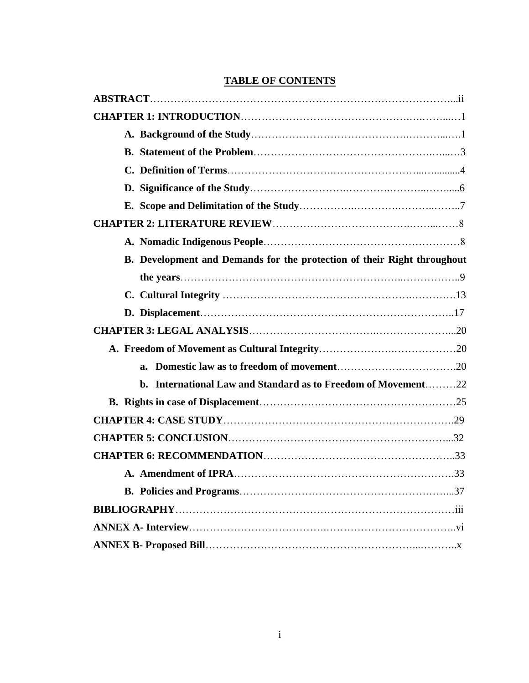| B. Development and Demands for the protection of their Right throughout |
|-------------------------------------------------------------------------|
|                                                                         |
|                                                                         |
|                                                                         |
|                                                                         |
|                                                                         |
| $a_{\cdot}$                                                             |
| b. International Law and Standard as to Freedom of Movement22           |
|                                                                         |
|                                                                         |
|                                                                         |
|                                                                         |
|                                                                         |
|                                                                         |
|                                                                         |
|                                                                         |
|                                                                         |

### **TABLE OF CONTENTS**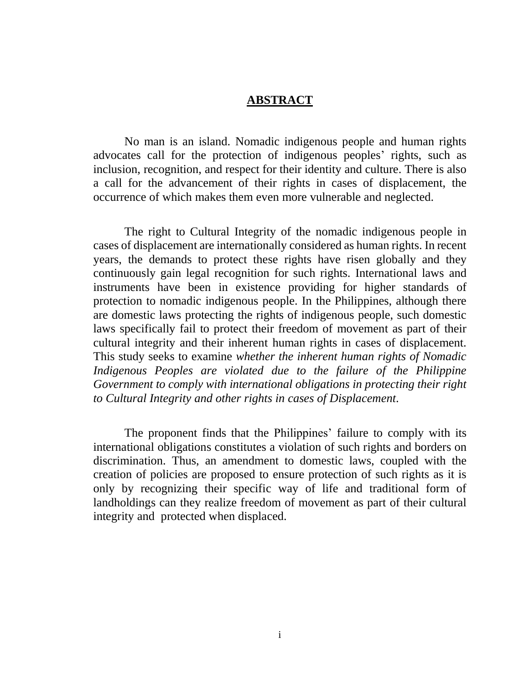#### **ABSTRACT**

No man is an island. Nomadic indigenous people and human rights advocates call for the protection of indigenous peoples' rights, such as inclusion, recognition, and respect for their identity and culture. There is also a call for the advancement of their rights in cases of displacement, the occurrence of which makes them even more vulnerable and neglected.

The right to Cultural Integrity of the nomadic indigenous people in cases of displacement are internationally considered as human rights. In recent years, the demands to protect these rights have risen globally and they continuously gain legal recognition for such rights. International laws and instruments have been in existence providing for higher standards of protection to nomadic indigenous people. In the Philippines, although there are domestic laws protecting the rights of indigenous people, such domestic laws specifically fail to protect their freedom of movement as part of their cultural integrity and their inherent human rights in cases of displacement. This study seeks to examine *whether the inherent human rights of Nomadic Indigenous Peoples are violated due to the failure of the Philippine Government to comply with international obligations in protecting their right to Cultural Integrity and other rights in cases of Displacement*.

The proponent finds that the Philippines' failure to comply with its international obligations constitutes a violation of such rights and borders on discrimination. Thus, an amendment to domestic laws, coupled with the creation of policies are proposed to ensure protection of such rights as it is only by recognizing their specific way of life and traditional form of landholdings can they realize freedom of movement as part of their cultural integrity and protected when displaced.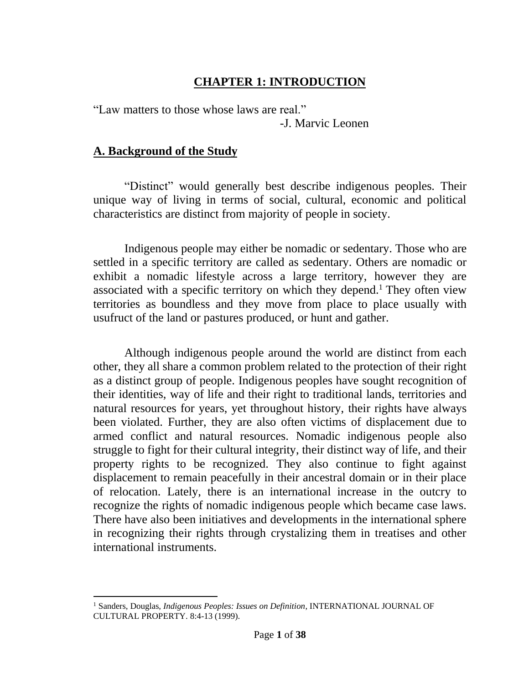# **CHAPTER 1: INTRODUCTION**

"Law matters to those whose laws are real."

-J. Marvic Leonen

# **A. Background of the Study**

"Distinct" would generally best describe indigenous peoples. Their unique way of living in terms of social, cultural, economic and political characteristics are distinct from majority of people in society.

Indigenous people may either be nomadic or sedentary. Those who are settled in a specific territory are called as sedentary. Others are nomadic or exhibit a nomadic lifestyle across a large territory, however they are associated with a specific territory on which they depend.<sup>1</sup> They often view territories as boundless and they move from place to place usually with usufruct of the land or pastures produced, or hunt and gather.

Although indigenous people around the world are distinct from each other, they all share a common problem related to the protection of their right as a distinct group of people. Indigenous peoples have sought recognition of their identities, way of life and their right to traditional lands, territories and natural resources for years, yet throughout history, their rights have always been violated. Further, they are also often victims of displacement due to armed conflict and natural resources. Nomadic indigenous people also struggle to fight for their cultural integrity, their distinct way of life, and their property rights to be recognized. They also continue to fight against displacement to remain peacefully in their ancestral domain or in their place of relocation. Lately, there is an international increase in the outcry to recognize the rights of nomadic indigenous people which became case laws. There have also been initiatives and developments in the international sphere in recognizing their rights through crystalizing them in treatises and other international instruments.

<sup>1</sup> Sanders, Douglas, *Indigenous Peoples: Issues on Definition*, INTERNATIONAL JOURNAL OF CULTURAL PROPERTY. 8:4-13 (1999).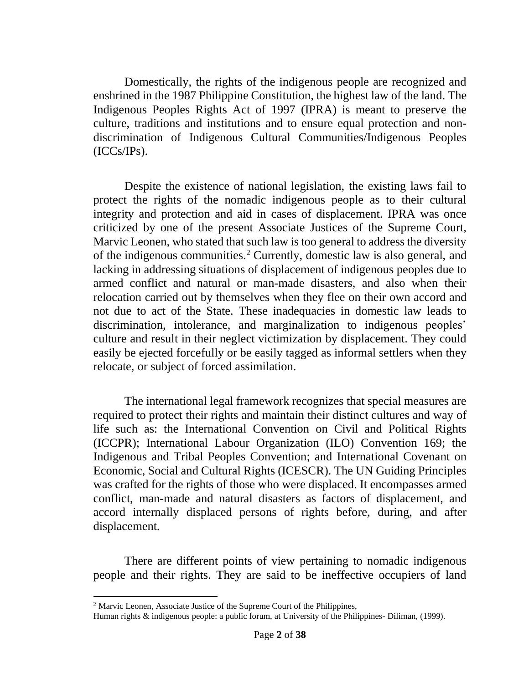Domestically, the rights of the indigenous people are recognized and enshrined in the 1987 Philippine Constitution, the highest law of the land. The Indigenous Peoples Rights Act of 1997 (IPRA) is meant to preserve the culture, traditions and institutions and to ensure equal protection and nondiscrimination of Indigenous Cultural Communities/Indigenous Peoples (ICCs/IPs).

Despite the existence of national legislation, the existing laws fail to protect the rights of the nomadic indigenous people as to their cultural integrity and protection and aid in cases of displacement. IPRA was once criticized by one of the present Associate Justices of the Supreme Court, Marvic Leonen, who stated that such law is too general to address the diversity of the indigenous communities.<sup>2</sup> Currently, domestic law is also general, and lacking in addressing situations of displacement of indigenous peoples due to armed conflict and natural or man-made disasters, and also when their relocation carried out by themselves when they flee on their own accord and not due to act of the State. These inadequacies in domestic law leads to discrimination, intolerance, and marginalization to indigenous peoples' culture and result in their neglect victimization by displacement. They could easily be ejected forcefully or be easily tagged as informal settlers when they relocate, or subject of forced assimilation.

The international legal framework recognizes that special measures are required to protect their rights and maintain their distinct cultures and way of life such as: the International Convention on Civil and Political Rights (ICCPR); International Labour Organization (ILO) Convention 169; the Indigenous and Tribal Peoples Convention; and International Covenant on Economic, Social and Cultural Rights (ICESCR). The UN Guiding Principles was crafted for the rights of those who were displaced. It encompasses armed conflict, man-made and natural disasters as factors of displacement, and accord internally displaced persons of rights before, during, and after displacement.

There are different points of view pertaining to nomadic indigenous people and their rights. They are said to be ineffective occupiers of land

<sup>&</sup>lt;sup>2</sup> Marvic Leonen, Associate Justice of the Supreme Court of the Philippines,

Human rights & indigenous people: a public forum, at University of the Philippines- Diliman, (1999).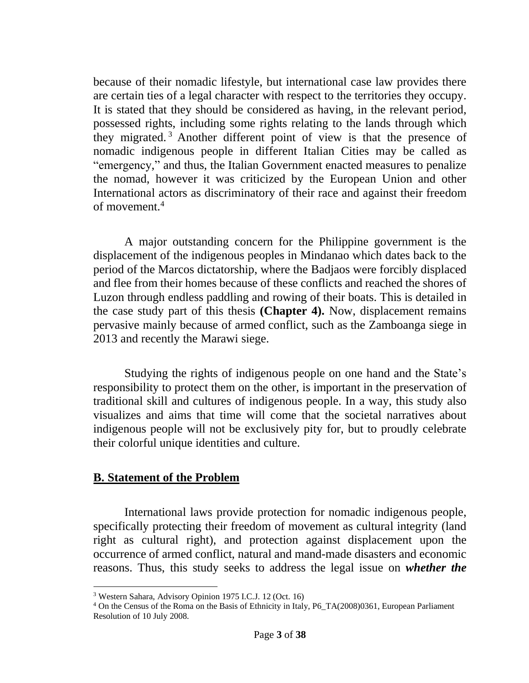because of their nomadic lifestyle, but international case law provides there are certain ties of a legal character with respect to the territories they occupy. It is stated that they should be considered as having, in the relevant period, possessed rights, including some rights relating to the lands through which they migrated. <sup>3</sup> Another different point of view is that the presence of nomadic indigenous people in different Italian Cities may be called as "emergency," and thus, the Italian Government enacted measures to penalize the nomad, however it was criticized by the European Union and other International actors as discriminatory of their race and against their freedom of movement.<sup>4</sup>

A major outstanding concern for the Philippine government is the displacement of the indigenous peoples in Mindanao which dates back to the period of the Marcos dictatorship, where the Badjaos were forcibly displaced and flee from their homes because of these conflicts and reached the shores of Luzon through endless paddling and rowing of their boats. This is detailed in the case study part of this thesis **(Chapter 4).** Now, displacement remains pervasive mainly because of armed conflict, such as the Zamboanga siege in 2013 and recently the Marawi siege.

Studying the rights of indigenous people on one hand and the State's responsibility to protect them on the other, is important in the preservation of traditional skill and cultures of indigenous people. In a way, this study also visualizes and aims that time will come that the societal narratives about indigenous people will not be exclusively pity for, but to proudly celebrate their colorful unique identities and culture.

### **B. Statement of the Problem**

International laws provide protection for nomadic indigenous people, specifically protecting their freedom of movement as cultural integrity (land right as cultural right), and protection against displacement upon the occurrence of armed conflict, natural and mand-made disasters and economic reasons. Thus, this study seeks to address the legal issue on *whether the*

<sup>3</sup> Western Sahara, Advisory Opinion 1975 I.C.J. 12 (Oct. 16)

<sup>4</sup> On the Census of the Roma on the Basis of Ethnicity in Italy, P6\_TA(2008)0361, European Parliament Resolution of 10 July 2008.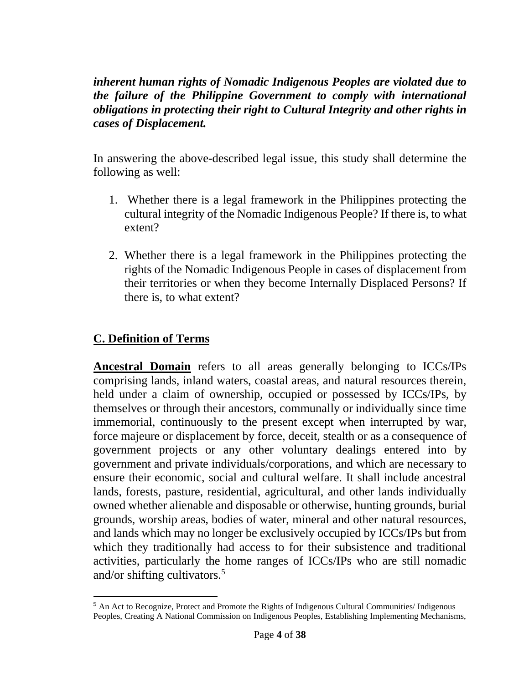*inherent human rights of Nomadic Indigenous Peoples are violated due to the failure of the Philippine Government to comply with international obligations in protecting their right to Cultural Integrity and other rights in cases of Displacement.*

In answering the above-described legal issue, this study shall determine the following as well:

- 1. Whether there is a legal framework in the Philippines protecting the cultural integrity of the Nomadic Indigenous People? If there is, to what extent?
- 2. Whether there is a legal framework in the Philippines protecting the rights of the Nomadic Indigenous People in cases of displacement from their territories or when they become Internally Displaced Persons? If there is, to what extent?

# **C. Definition of Terms**

**Ancestral Domain** refers to all areas generally belonging to ICCs/IPs comprising lands, inland waters, coastal areas, and natural resources therein, held under a claim of ownership, occupied or possessed by ICCs/IPs, by themselves or through their ancestors, communally or individually since time immemorial, continuously to the present except when interrupted by war, force majeure or displacement by force, deceit, stealth or as a consequence of government projects or any other voluntary dealings entered into by government and private individuals/corporations, and which are necessary to ensure their economic, social and cultural welfare. It shall include ancestral lands, forests, pasture, residential, agricultural, and other lands individually owned whether alienable and disposable or otherwise, hunting grounds, burial grounds, worship areas, bodies of water, mineral and other natural resources, and lands which may no longer be exclusively occupied by ICCs/IPs but from which they traditionally had access to for their subsistence and traditional activities, particularly the home ranges of ICCs/IPs who are still nomadic and/or shifting cultivators. $5$ 

<sup>5</sup> An Act to Recognize, Protect and Promote the Rights of Indigenous Cultural Communities/ Indigenous Peoples, Creating A National Commission on Indigenous Peoples, Establishing Implementing Mechanisms,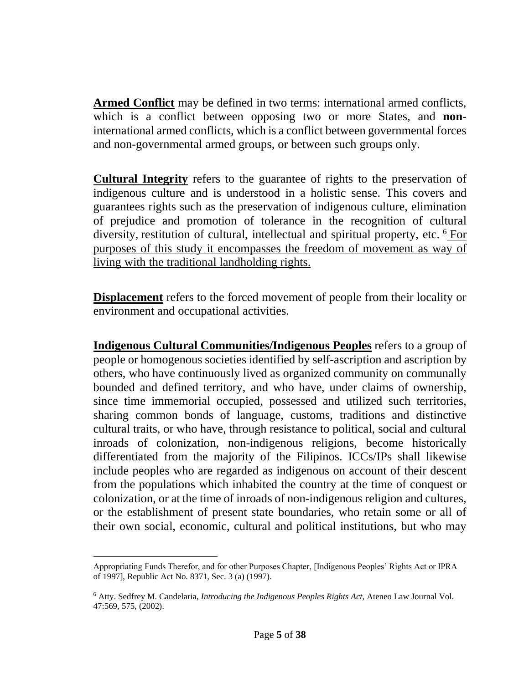**Armed Conflict** may be defined in two terms: international armed conflicts, which is a conflict between opposing two or more States, and **non**international armed conflicts, which is a conflict between governmental forces and non-governmental armed groups, or between such groups only.

**Cultural Integrity** refers to the guarantee of rights to the preservation of indigenous culture and is understood in a holistic sense. This covers and guarantees rights such as the preservation of indigenous culture, elimination of prejudice and promotion of tolerance in the recognition of cultural diversity, restitution of cultural, intellectual and spiritual property, etc. <sup>6</sup> For purposes of this study it encompasses the freedom of movement as way of living with the traditional landholding rights.

**Displacement** refers to the forced movement of people from their locality or environment and occupational activities.

**Indigenous Cultural Communities/Indigenous Peoples** refers to a group of people or homogenous societies identified by self-ascription and ascription by others, who have continuously lived as organized community on communally bounded and defined territory, and who have, under claims of ownership, since time immemorial occupied, possessed and utilized such territories, sharing common bonds of language, customs, traditions and distinctive cultural traits, or who have, through resistance to political, social and cultural inroads of colonization, non-indigenous religions, become historically differentiated from the majority of the Filipinos. ICCs/IPs shall likewise include peoples who are regarded as indigenous on account of their descent from the populations which inhabited the country at the time of conquest or colonization, or at the time of inroads of non-indigenous religion and cultures, or the establishment of present state boundaries, who retain some or all of their own social, economic, cultural and political institutions, but who may

Appropriating Funds Therefor, and for other Purposes Chapter, [Indigenous Peoples' Rights Act or IPRA of 1997], Republic Act No. 8371, Sec. 3 (a) (1997).

<sup>6</sup> Atty. Sedfrey M. Candelaria*, Introducing the Indigenous Peoples Rights Act*, Ateneo Law Journal Vol. 47:569, 575, (2002).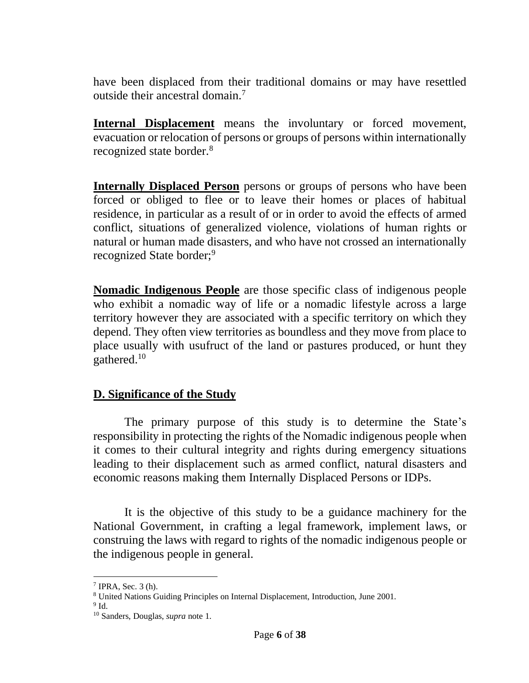have been displaced from their traditional domains or may have resettled outside their ancestral domain.<sup>7</sup>

**Internal Displacement** means the involuntary or forced movement, evacuation or relocation of persons or groups of persons within internationally recognized state border. 8

**Internally Displaced Person** persons or groups of persons who have been forced or obliged to flee or to leave their homes or places of habitual residence, in particular as a result of or in order to avoid the effects of armed conflict, situations of generalized violence, violations of human rights or natural or human made disasters, and who have not crossed an internationally recognized State border;<sup>9</sup>

**Nomadic Indigenous People** are those specific class of indigenous people who exhibit a nomadic way of life or a nomadic lifestyle across a large territory however they are associated with a specific territory on which they depend. They often view territories as boundless and they move from place to place usually with usufruct of the land or pastures produced, or hunt they gathered. $10$ 

## **D. Significance of the Study**

The primary purpose of this study is to determine the State's responsibility in protecting the rights of the Nomadic indigenous people when it comes to their cultural integrity and rights during emergency situations leading to their displacement such as armed conflict, natural disasters and economic reasons making them Internally Displaced Persons or IDPs.

It is the objective of this study to be a guidance machinery for the National Government, in crafting a legal framework, implement laws, or construing the laws with regard to rights of the nomadic indigenous people or the indigenous people in general.

<sup>7</sup> IPRA, Sec. 3 (h).

<sup>8</sup> United Nations Guiding Principles on Internal Displacement, Introduction, June 2001.

 $9$  Id.

<sup>10</sup> Sanders, Douglas, *supra* note 1.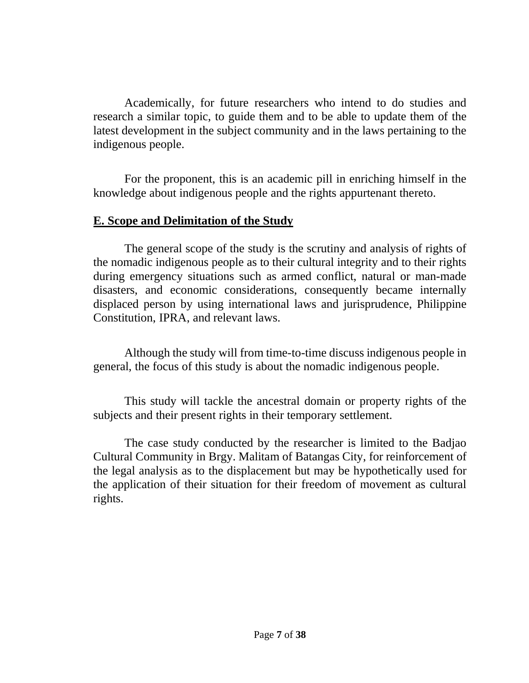Academically, for future researchers who intend to do studies and research a similar topic, to guide them and to be able to update them of the latest development in the subject community and in the laws pertaining to the indigenous people.

For the proponent, this is an academic pill in enriching himself in the knowledge about indigenous people and the rights appurtenant thereto.

## **E. Scope and Delimitation of the Study**

The general scope of the study is the scrutiny and analysis of rights of the nomadic indigenous people as to their cultural integrity and to their rights during emergency situations such as armed conflict, natural or man-made disasters, and economic considerations, consequently became internally displaced person by using international laws and jurisprudence, Philippine Constitution, IPRA, and relevant laws.

Although the study will from time-to-time discuss indigenous people in general, the focus of this study is about the nomadic indigenous people.

This study will tackle the ancestral domain or property rights of the subjects and their present rights in their temporary settlement.

The case study conducted by the researcher is limited to the Badjao Cultural Community in Brgy. Malitam of Batangas City, for reinforcement of the legal analysis as to the displacement but may be hypothetically used for the application of their situation for their freedom of movement as cultural rights.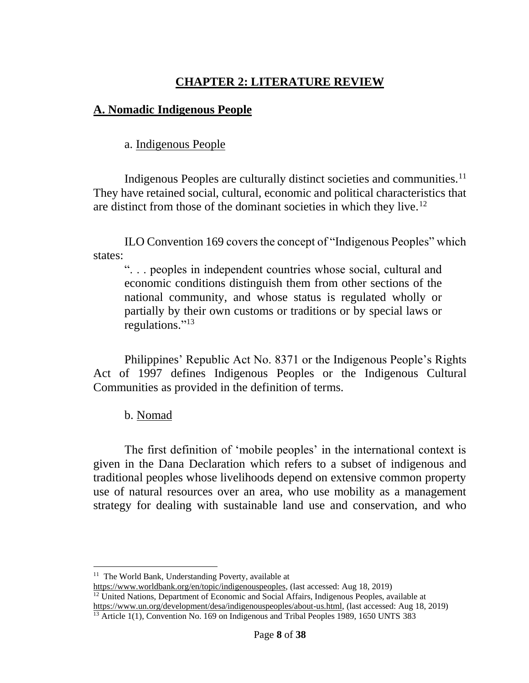# **CHAPTER 2: LITERATURE REVIEW**

# **A. Nomadic Indigenous People**

a. Indigenous People

Indigenous Peoples are culturally distinct societies and communities.<sup>11</sup> They have retained social, cultural, economic and political characteristics that are distinct from those of the dominant societies in which they live.<sup>12</sup>

ILO Convention 169 covers the concept of "Indigenous Peoples" which states:

". . . peoples in independent countries whose social, cultural and economic conditions distinguish them from other sections of the national community, and whose status is regulated wholly or partially by their own customs or traditions or by special laws or regulations."<sup>13</sup>

Philippines' Republic Act No. 8371 or the Indigenous People's Rights Act of 1997 defines Indigenous Peoples or the Indigenous Cultural Communities as provided in the definition of terms.

b. Nomad

The first definition of 'mobile peoples' in the international context is given in the Dana Declaration which refers to a subset of indigenous and traditional peoples whose livelihoods depend on extensive common property use of natural resources over an area, who use mobility as a management strategy for dealing with sustainable land use and conservation, and who

<sup>&</sup>lt;sup>11</sup> The World Bank, Understanding Poverty, available at

[https://www.worldbank.org/en/topic/indigenouspeoples,](https://www.worldbank.org/en/topic/indigenouspeoples) (last accessed: Aug 18, 2019)

 $12$  United Nations, Department of Economic and Social Affairs, Indigenous Peoples, available at [https://www.un.org/development/desa/indigenouspeoples/about-us.html,](https://www.un.org/development/desa/indigenouspeoples/about-us.html) (last accessed: Aug 18, 2019)

<sup>&</sup>lt;sup>13</sup> Article 1(1), Convention No. 169 on Indigenous and Tribal Peoples 1989, 1650 UNTS 383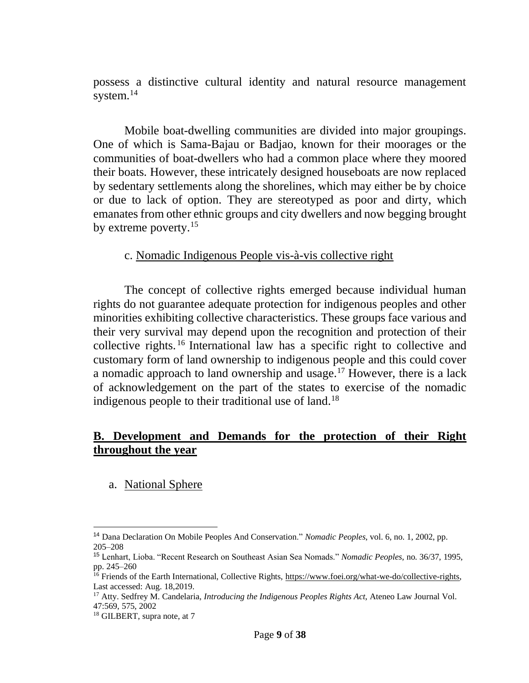possess a distinctive cultural identity and natural resource management system.<sup>14</sup>

Mobile boat-dwelling communities are divided into major groupings. One of which is Sama-Bajau or Badjao, known for their moorages or the communities of boat-dwellers who had a common place where they moored their boats. However, these intricately designed houseboats are now replaced by sedentary settlements along the shorelines, which may either be by choice or due to lack of option. They are stereotyped as poor and dirty, which emanates from other ethnic groups and city dwellers and now begging brought by extreme poverty.<sup>15</sup>

### c. Nomadic Indigenous People vis-à-vis collective right

The concept of collective rights emerged because individual human rights do not guarantee adequate protection for indigenous peoples and other minorities exhibiting collective characteristics. These groups face various and their very survival may depend upon the recognition and protection of their collective rights. <sup>16</sup> International law has a specific right to collective and customary form of land ownership to indigenous people and this could cover a nomadic approach to land ownership and usage.<sup>17</sup> However, there is a lack of acknowledgement on the part of the states to exercise of the nomadic indigenous people to their traditional use of land.<sup>18</sup>

## **B. Development and Demands for the protection of their Right throughout the year**

a. National Sphere

<sup>14</sup> Dana Declaration On Mobile Peoples And Conservation." *Nomadic Peoples*, vol. 6, no. 1, 2002, pp. 205–208

<sup>15</sup> Lenhart, Lioba. "Recent Research on Southeast Asian Sea Nomads." *Nomadic Peoples*, no. 36/37, 1995, pp. 245–260

<sup>&</sup>lt;sup>16</sup> Friends of the Earth International, Collective Rights, [https://www.foei.org/what-we-do/collective-rights,](https://www.foei.org/what-we-do/collective-rights) Last accessed: Aug. 18,2019.

<sup>17</sup> Atty. Sedfrey M. Candelaria, *Introducing the Indigenous Peoples Rights Act*, Ateneo Law Journal Vol. 47:569, 575, 2002

<sup>&</sup>lt;sup>18</sup> GILBERT, supra note, at 7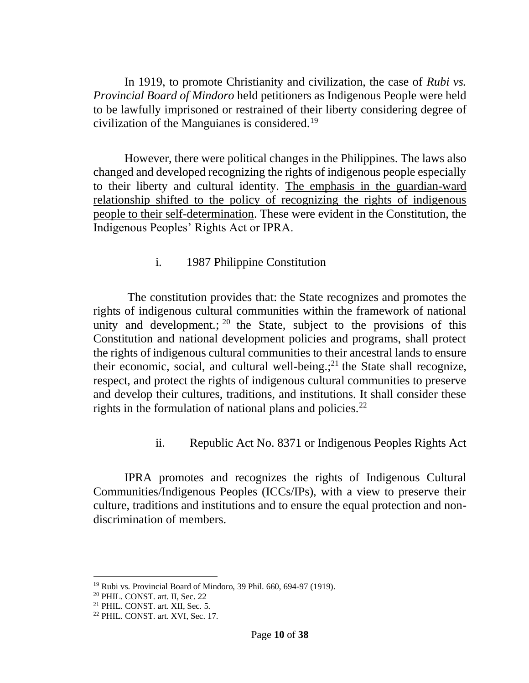In 1919, to promote Christianity and civilization, the case of *Rubi vs. Provincial Board of Mindoro* held petitioners as Indigenous People were held to be lawfully imprisoned or restrained of their liberty considering degree of civilization of the Manguianes is considered.<sup>19</sup>

However, there were political changes in the Philippines. The laws also changed and developed recognizing the rights of indigenous people especially to their liberty and cultural identity. The emphasis in the guardian-ward relationship shifted to the policy of recognizing the rights of indigenous people to their self-determination. These were evident in the Constitution, the Indigenous Peoples' Rights Act or IPRA.

## i. 1987 Philippine Constitution

The constitution provides that: the State recognizes and promotes the rights of indigenous cultural communities within the framework of national unity and development.;  $20$  the State, subject to the provisions of this Constitution and national development policies and programs, shall protect the rights of indigenous cultural communities to their ancestral lands to ensure their economic, social, and cultural well-being.; $2<sup>1</sup>$  the State shall recognize, respect, and protect the rights of indigenous cultural communities to preserve and develop their cultures, traditions, and institutions. It shall consider these rights in the formulation of national plans and policies.<sup>22</sup>

## ii. Republic Act No. 8371 or Indigenous Peoples Rights Act

IPRA promotes and recognizes the rights of Indigenous Cultural Communities/Indigenous Peoples (ICCs/IPs), with a view to preserve their culture, traditions and institutions and to ensure the equal protection and nondiscrimination of members.

<sup>19</sup> Rubi vs. Provincial Board of Mindoro, 39 Phil. 660, 694-97 (1919).

<sup>20</sup> PHIL. CONST. art. II, Sec. 22

<sup>21</sup> PHIL. CONST. art. XII, Sec. 5.

<sup>22</sup> PHIL. CONST. art. XVI, Sec. 17.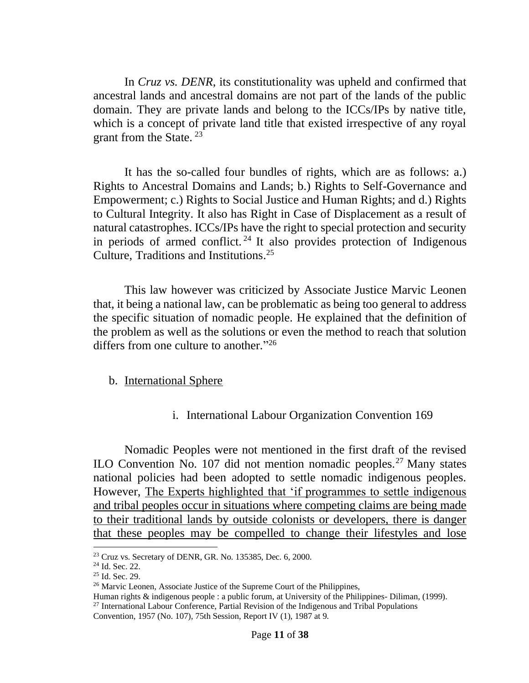In *Cruz vs. DENR*, its constitutionality was upheld and confirmed that ancestral lands and ancestral domains are not part of the lands of the public domain. They are private lands and belong to the ICCs/IPs by native title, which is a concept of private land title that existed irrespective of any royal grant from the State. <sup>23</sup>

It has the so-called four bundles of rights, which are as follows: a.) Rights to Ancestral Domains and Lands; b.) Rights to Self-Governance and Empowerment; c.) Rights to Social Justice and Human Rights; and d.) Rights to Cultural Integrity. It also has Right in Case of Displacement as a result of natural catastrophes. ICCs/IPs have the right to special protection and security in periods of armed conflict.<sup>24</sup> It also provides protection of Indigenous Culture, Traditions and Institutions. 25

This law however was criticized by Associate Justice Marvic Leonen that, it being a national law, can be problematic as being too general to address the specific situation of nomadic people. He explained that the definition of the problem as well as the solutions or even the method to reach that solution differs from one culture to another."<sup>26</sup>

### b. International Sphere

i. International Labour Organization Convention 169

Nomadic Peoples were not mentioned in the first draft of the revised ILO Convention No. 107 did not mention nomadic peoples.<sup>27</sup> Many states national policies had been adopted to settle nomadic indigenous peoples. However, The Experts highlighted that 'if programmes to settle indigenous and tribal peoples occur in situations where competing claims are being made to their traditional lands by outside colonists or developers, there is danger that these peoples may be compelled to change their lifestyles and lose

 $23$  Cruz vs. Secretary of DENR, GR. No. 135385, Dec. 6, 2000.

<sup>24</sup> Id. Sec. 22.

<sup>25</sup> Id. Sec. 29.

<sup>&</sup>lt;sup>26</sup> Marvic Leonen, Associate Justice of the Supreme Court of the Philippines,

Human rights & indigenous people : a public forum, at University of the Philippines- Diliman, (1999).  $27$  International Labour Conference, Partial Revision of the Indigenous and Tribal Populations

Convention, 1957 (No. 107), 75th Session, Report IV (1), 1987 at 9.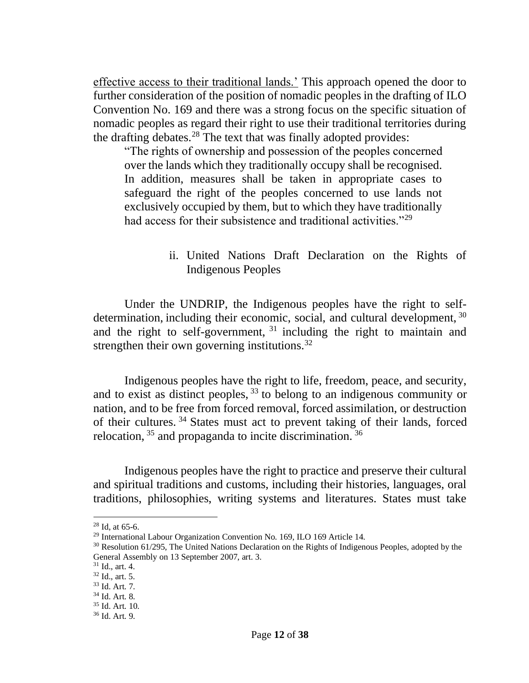effective access to their traditional lands.' This approach opened the door to further consideration of the position of nomadic peoples in the drafting of ILO Convention No. 169 and there was a strong focus on the specific situation of nomadic peoples as regard their right to use their traditional territories during the drafting debates.<sup>28</sup> The text that was finally adopted provides:

"The rights of ownership and possession of the peoples concerned over the lands which they traditionally occupy shall be recognised. In addition, measures shall be taken in appropriate cases to safeguard the right of the peoples concerned to use lands not exclusively occupied by them, but to which they have traditionally had access for their subsistence and traditional activities."<sup>29</sup>

## ii. United Nations Draft Declaration on the Rights of Indigenous Peoples

Under the UNDRIP, the Indigenous peoples have the right to selfdetermination, including their economic, social, and cultural development, <sup>30</sup> and the right to self-government, <sup>31</sup> including the right to maintain and strengthen their own governing institutions.<sup>32</sup>

Indigenous peoples have the right to life, freedom, peace, and security, and to exist as distinct peoples,  $33$  to belong to an indigenous community or nation, and to be free from forced removal, forced assimilation, or destruction of their cultures. <sup>34</sup> States must act to prevent taking of their lands, forced relocation,  $35$  and propaganda to incite discrimination.  $36$ 

Indigenous peoples have the right to practice and preserve their cultural and spiritual traditions and customs, including their histories, languages, oral traditions, philosophies, writing systems and literatures. States must take

 $28$  Id, at 65-6.

<sup>29</sup> International Labour Organization Convention No. 169, ILO 169 Article 14.

<sup>30</sup> Resolution 61/295, The United Nations Declaration on the Rights of Indigenous Peoples, adopted by the General Assembly on 13 September 2007, art. 3.

 $31$  Id., art. 4.

 $32$  Id., art. 5.

<sup>33</sup> Id. Art. 7.

<sup>34</sup> Id. Art. 8.

<sup>35</sup> Id. Art. 10.

<sup>36</sup> Id. Art. 9.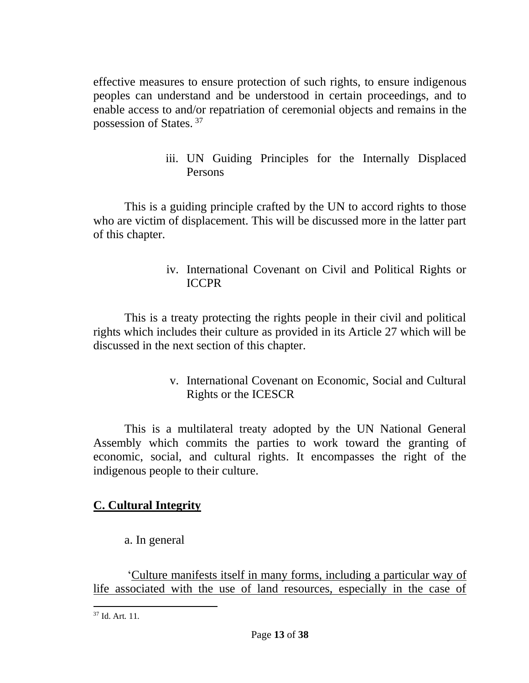effective measures to ensure protection of such rights, to ensure indigenous peoples can understand and be understood in certain proceedings, and to enable access to and/or repatriation of ceremonial objects and remains in the possession of States. <sup>37</sup>

> iii. UN Guiding Principles for the Internally Displaced Persons

This is a guiding principle crafted by the UN to accord rights to those who are victim of displacement. This will be discussed more in the latter part of this chapter.

> iv. International Covenant on Civil and Political Rights or ICCPR

This is a treaty protecting the rights people in their civil and political rights which includes their culture as provided in its Article 27 which will be discussed in the next section of this chapter.

> v. International Covenant on Economic, Social and Cultural Rights or the ICESCR

This is a multilateral treaty adopted by the UN National General Assembly which commits the parties to work toward the granting of economic, social, and cultural rights. It encompasses the right of the indigenous people to their culture.

# **C. Cultural Integrity**

a. In general

'Culture manifests itself in many forms, including a particular way of life associated with the use of land resources, especially in the case of

 $37$  Id. Art. 11.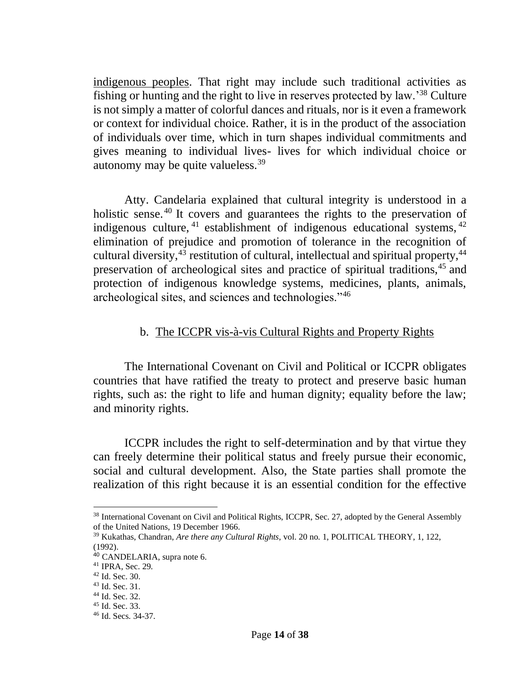indigenous peoples. That right may include such traditional activities as fishing or hunting and the right to live in reserves protected by law.'<sup>38</sup> Culture is not simply a matter of colorful dances and rituals, nor is it even a framework or context for individual choice. Rather, it is in the product of the association of individuals over time, which in turn shapes individual commitments and gives meaning to individual lives- lives for which individual choice or autonomy may be quite valueless.  $39$ 

Atty. Candelaria explained that cultural integrity is understood in a holistic sense.<sup>40</sup> It covers and guarantees the rights to the preservation of indigenous culture,  $41$  establishment of indigenous educational systems,  $42$ elimination of prejudice and promotion of tolerance in the recognition of cultural diversity, $43$  restitution of cultural, intellectual and spiritual property, $44$ preservation of archeological sites and practice of spiritual traditions,<sup>45</sup> and protection of indigenous knowledge systems, medicines, plants, animals, archeological sites, and sciences and technologies."<sup>46</sup>

### b. The ICCPR vis-à-vis Cultural Rights and Property Rights

The International Covenant on Civil and Political or ICCPR obligates countries that have ratified the treaty to protect and preserve basic human rights, such as: the right to life and human dignity; equality before the law; and minority rights.

ICCPR includes the right to self-determination and by that virtue they can freely determine their political status and freely pursue their economic, social and cultural development. Also, the State parties shall promote the realization of this right because it is an essential condition for the effective

<sup>&</sup>lt;sup>38</sup> International Covenant on Civil and Political Rights, ICCPR, Sec. 27, adopted by the General Assembly of the United Nations, 19 December 1966.

<sup>39</sup> Kukathas, Chandran, *Are there any Cultural Rights*, vol. 20 no. 1, POLITICAL THEORY, 1, 122, (1992).

<sup>40</sup> CANDELARIA, supra note 6.

<sup>41</sup> IPRA, Sec. 29.

<sup>42</sup> Id. Sec. 30.

<sup>43</sup> Id. Sec. 31.

<sup>44</sup> Id. Sec. 32.

<sup>45</sup> Id. Sec. 33.

<sup>46</sup> Id. Secs. 34-37.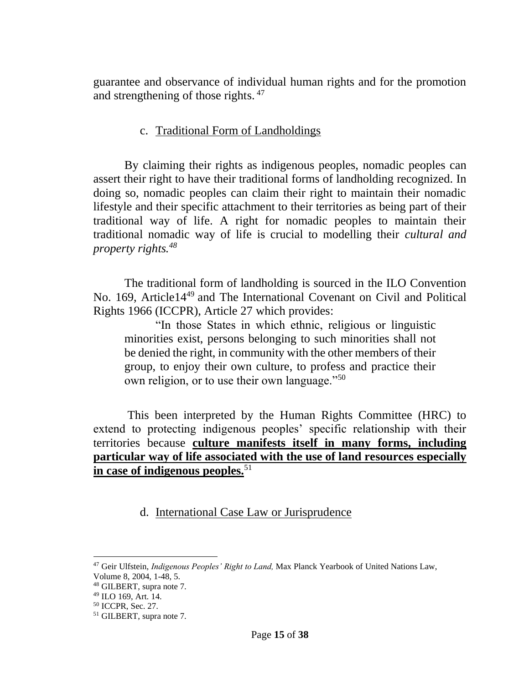guarantee and observance of individual human rights and for the promotion and strengthening of those rights.<sup>47</sup>

## c. Traditional Form of Landholdings

By claiming their rights as indigenous peoples, nomadic peoples can assert their right to have their traditional forms of landholding recognized. In doing so, nomadic peoples can claim their right to maintain their nomadic lifestyle and their specific attachment to their territories as being part of their traditional way of life. A right for nomadic peoples to maintain their traditional nomadic way of life is crucial to modelling their *cultural and property rights.<sup>48</sup>*

The traditional form of landholding is sourced in the ILO Convention No. 169, Article14<sup>49</sup> and The International Covenant on Civil and Political Rights 1966 (ICCPR), Article 27 which provides:

"In those States in which ethnic, religious or linguistic minorities exist, persons belonging to such minorities shall not be denied the right, in community with the other members of their group, to enjoy their own culture, to profess and practice their own religion, or to use their own language."<sup>50</sup>

This been interpreted by the Human Rights Committee (HRC) to extend to protecting indigenous peoples' specific relationship with their territories because **culture manifests itself in many forms, including particular way of life associated with the use of land resources especially in case of indigenous peoples.**<sup>51</sup>

d. International Case Law or Jurisprudence

<sup>47</sup> Geir Ulfstein, *Indigenous Peoples' Right to Land,* Max Planck Yearbook of United Nations Law, Volume 8, 2004, 1-48, 5.

<sup>48</sup> GILBERT, supra note 7.

<sup>49</sup> ILO 169, Art. 14.

<sup>50</sup> ICCPR, Sec. 27.

<sup>51</sup> GILBERT, supra note 7.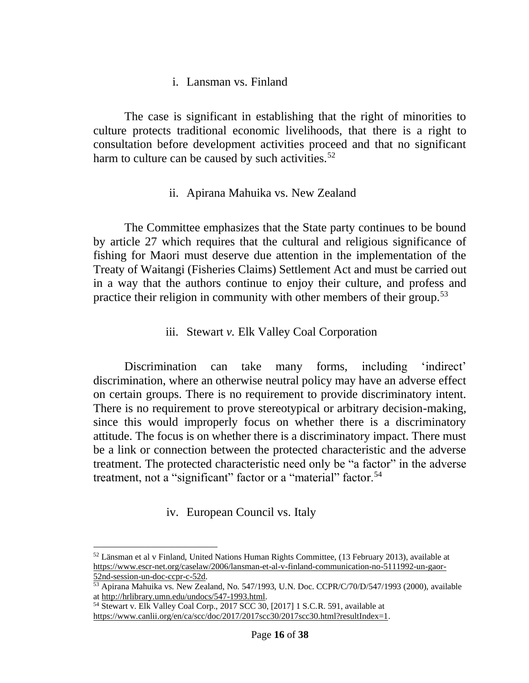### i. Lansman vs. Finland

The case is significant in establishing that the right of minorities to culture protects traditional economic livelihoods, that there is a right to consultation before development activities proceed and that no significant harm to culture can be caused by such activities.<sup>52</sup>

### ii. Apirana Mahuika vs. New Zealand

The Committee emphasizes that the State party continues to be bound by article 27 which requires that the cultural and religious significance of fishing for Maori must deserve due attention in the implementation of the Treaty of Waitangi (Fisheries Claims) Settlement Act and must be carried out in a way that the authors continue to enjoy their culture, and profess and practice their religion in community with other members of their group.<sup>53</sup>

### iii. Stewart *v.* Elk Valley Coal Corporation

Discrimination can take many forms, including 'indirect' discrimination, where an otherwise neutral policy may have an adverse effect on certain groups. There is no requirement to provide discriminatory intent. There is no requirement to prove stereotypical or arbitrary decision-making, since this would improperly focus on whether there is a discriminatory attitude. The focus is on whether there is a discriminatory impact. There must be a link or connection between the protected characteristic and the adverse treatment. The protected characteristic need only be "a factor" in the adverse treatment, not a "significant" factor or a "material" factor.<sup>54</sup>

## iv. European Council vs. Italy

<sup>52</sup> Länsman et al v Finland, United Nations Human Rights Committee, (13 February 2013), available at [https://www.escr-net.org/caselaw/2006/lansman-et-al-v-finland-communication-no-5111992-un-gaor-](https://www.escr-net.org/caselaw/2006/lansman-et-al-v-finland-communication-no-5111992-un-gaor-52nd-session-un-doc-ccpr-c-52d)[52nd-session-un-doc-ccpr-c-52d.](https://www.escr-net.org/caselaw/2006/lansman-et-al-v-finland-communication-no-5111992-un-gaor-52nd-session-un-doc-ccpr-c-52d)

<sup>53</sup> Apirana Mahuika vs. New Zealand, No. 547/1993, U.N. Doc. CCPR/C/70/D/547/1993 (2000), available a[t http://hrlibrary.umn.edu/undocs/547-1993.html.](http://hrlibrary.umn.edu/undocs/547-1993.html)

<sup>54</sup> Stewart v. Elk Valley Coal Corp., 2017 SCC 30, [2017] 1 S.C.R. 591, available at [https://www.canlii.org/en/ca/scc/doc/2017/2017scc30/2017scc30.html?resultIndex=1.](https://www.canlii.org/en/ca/scc/doc/2017/2017scc30/2017scc30.html?resultIndex=1)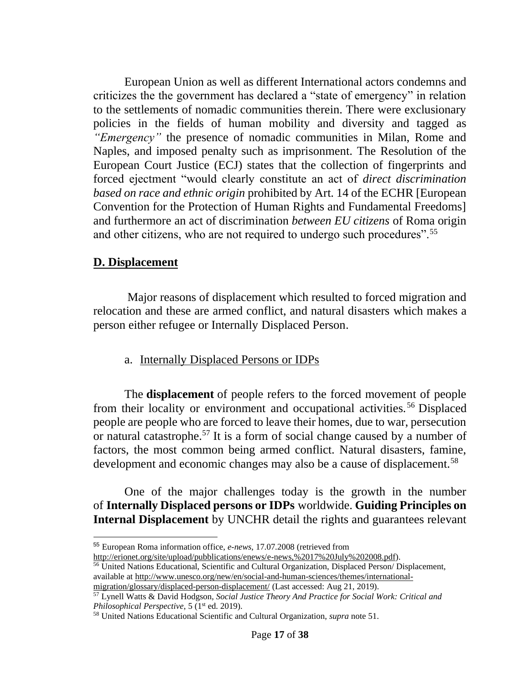European Union as well as different International actors condemns and criticizes the the government has declared a "state of emergency" in relation to the settlements of nomadic communities therein. There were exclusionary policies in the fields of human mobility and diversity and tagged as *"Emergency"* the presence of nomadic communities in Milan, Rome and Naples, and imposed penalty such as imprisonment. The Resolution of the European Court Justice (ECJ) states that the collection of fingerprints and forced ejectment "would clearly constitute an act of *direct discrimination based on race and ethnic origin* prohibited by Art. 14 of the ECHR [European Convention for the Protection of Human Rights and Fundamental Freedoms] and furthermore an act of discrimination *between EU citizens* of Roma origin and other citizens, who are not required to undergo such procedures".<sup>55</sup>

# **D. Displacement**

Major reasons of displacement which resulted to forced migration and relocation and these are armed conflict, and natural disasters which makes a person either refugee or Internally Displaced Person.

# a. Internally Displaced Persons or IDPs

The **displacement** of people refers to the forced movement of people from their locality or environment and occupational activities.<sup>56</sup> Displaced people are people who are forced to leave their homes, due to war, persecution or natural catastrophe.<sup>57</sup> It is a form of social change caused by a number of factors, the most common being armed conflict. Natural disasters, famine, development and economic changes may also be a cause of displacement.<sup>58</sup>

One of the major challenges today is the growth in the number of **Internally Displaced persons or IDPs** worldwide. **Guiding Principles on Internal Displacement** by UNCHR detail the rights and guarantees relevant

<sup>56</sup> United Nations Educational, Scientific and Cultural Organization, Displaced Person/ Displacement, available at [http://www.unesco.org/new/en/social-and-human-sciences/themes/international-](http://www.unesco.org/new/en/social-and-human-sciences/themes/international-migration/glossary/displaced-person-displacement/)

<sup>55</sup> European Roma information office, *e-news*, 17.07.2008 (retrieved from

[http://erionet.org/site/upload/pubblications/enews/e-news,%2017%20July%202008.pdf\)](http://erionet.org/site/upload/pubblications/enews/e-news,%2017%20July%202008.pdf).

[migration/glossary/displaced-person-displacement/](http://www.unesco.org/new/en/social-and-human-sciences/themes/international-migration/glossary/displaced-person-displacement/) (Last accessed: Aug 21, 2019).

<sup>57</sup> Lynell Watts & David Hodgson, *Social Justice Theory And Practice for Social Work: Critical and Philosophical Perspective*, 5 (1<sup>st</sup> ed. 2019).

<sup>58</sup> United Nations Educational Scientific and Cultural Organization, *supra* note 51.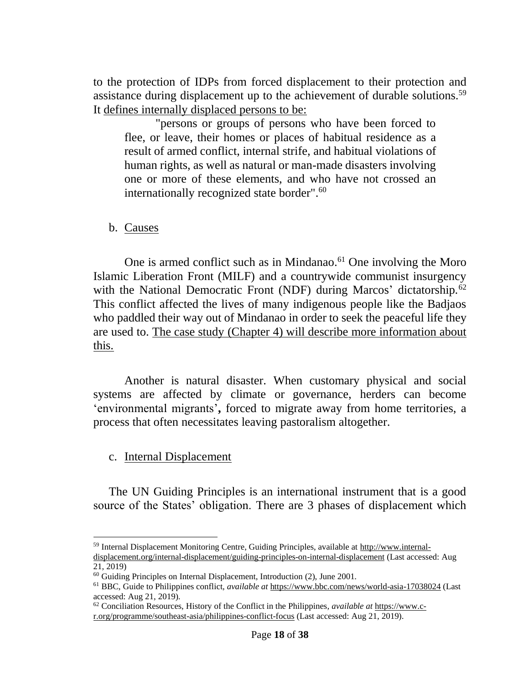to the protection of IDPs from forced displacement to their protection and assistance during displacement up to the achievement of durable solutions.<sup>59</sup> It defines internally displaced persons to be:

"persons or groups of persons who have been forced to flee, or leave, their homes or places of habitual residence as a result of armed conflict, internal strife, and habitual violations of human rights, as well as natural or man-made disasters involving one or more of these elements, and who have not crossed an internationally recognized state border".<sup>60</sup>

b. Causes

One is armed conflict such as in Mindanao.<sup>61</sup> One involving the Moro Islamic Liberation Front (MILF) and a countrywide communist insurgency with the National Democratic Front (NDF) during Marcos' dictatorship.<sup>62</sup> This conflict affected the lives of many indigenous people like the Badjaos who paddled their way out of Mindanao in order to seek the peaceful life they are used to. The case study (Chapter 4) will describe more information about this.

Another is natural disaster. When customary physical and social systems are affected by climate or governance, herders can become 'environmental migrants'**,** forced to migrate away from home territories, a process that often necessitates leaving pastoralism altogether.

c. Internal Displacement

The UN Guiding Principles is an international instrument that is a good source of the States' obligation. There are 3 phases of displacement which

<sup>59</sup> Internal Displacement Monitoring Centre, Guiding Principles, available a[t http://www.internal](http://www.internal-displacement.org/internal-displacement/guiding-principles-on-internal-displacement)[displacement.org/internal-displacement/guiding-principles-on-internal-displacement](http://www.internal-displacement.org/internal-displacement/guiding-principles-on-internal-displacement) (Last accessed: Aug

<sup>21, 2019)</sup>

<sup>&</sup>lt;sup>60</sup> Guiding Principles on Internal Displacement, Introduction (2), June 2001.

<sup>61</sup> BBC, Guide to Philippines conflict, *available at* <https://www.bbc.com/news/world-asia-17038024> (Last accessed: Aug 21, 2019).

<sup>62</sup> Conciliation Resources, History of the Conflict in the Philippines*, available at* [https://www.c](https://www.c-r.org/programme/southeast-asia/philippines-conflict-focus)[r.org/programme/southeast-asia/philippines-conflict-focus](https://www.c-r.org/programme/southeast-asia/philippines-conflict-focus) (Last accessed: Aug 21, 2019).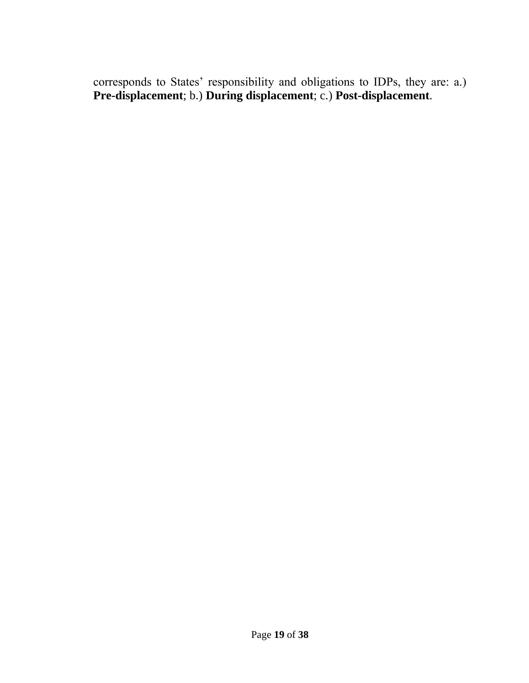corresponds to States' responsibility and obligations to IDPs, they are: a.) **Pre-displacement**; b.) **During displacement**; c.) **Post-displacement**.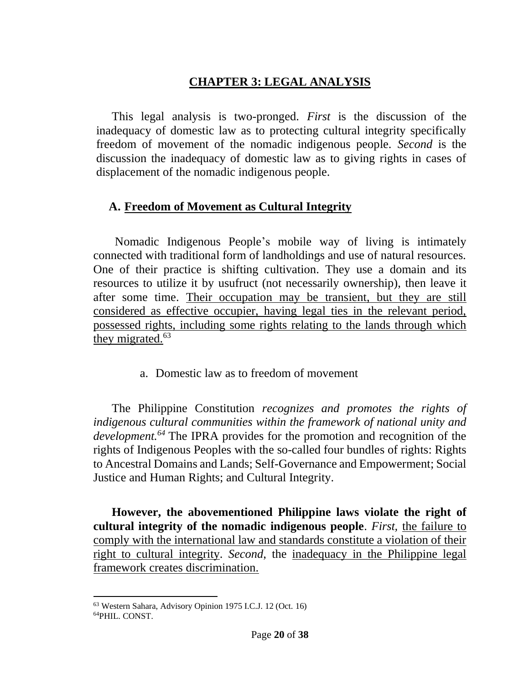# **CHAPTER 3: LEGAL ANALYSIS**

This legal analysis is two-pronged. *First* is the discussion of the inadequacy of domestic law as to protecting cultural integrity specifically freedom of movement of the nomadic indigenous people. *Second* is the discussion the inadequacy of domestic law as to giving rights in cases of displacement of the nomadic indigenous people.

# **A. Freedom of Movement as Cultural Integrity**

Nomadic Indigenous People's mobile way of living is intimately connected with traditional form of landholdings and use of natural resources. One of their practice is shifting cultivation. They use a domain and its resources to utilize it by usufruct (not necessarily ownership), then leave it after some time. Their occupation may be transient, but they are still considered as effective occupier, having legal ties in the relevant period, possessed rights, including some rights relating to the lands through which they migrated.<sup>63</sup>

a. Domestic law as to freedom of movement

The Philippine Constitution *recognizes and promotes the rights of indigenous cultural communities within the framework of national unity and development.<sup>64</sup>* The IPRA provides for the promotion and recognition of the rights of Indigenous Peoples with the so-called four bundles of rights: Rights to Ancestral Domains and Lands; Self-Governance and Empowerment; Social Justice and Human Rights; and Cultural Integrity.

**However, the abovementioned Philippine laws violate the right of cultural integrity of the nomadic indigenous people**. *First,* the failure to comply with the international law and standards constitute a violation of their right to cultural integrity. *Second*, the inadequacy in the Philippine legal framework creates discrimination.

<sup>63</sup> Western Sahara, Advisory Opinion 1975 I.C.J. 12 (Oct. 16) 64PHIL. CONST.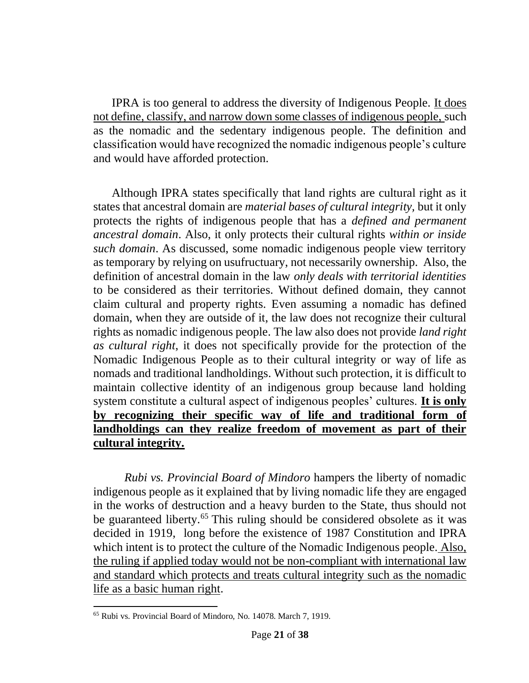IPRA is too general to address the diversity of Indigenous People. It does not define, classify, and narrow down some classes of indigenous people, such as the nomadic and the sedentary indigenous people. The definition and classification would have recognized the nomadic indigenous people's culture and would have afforded protection.

Although IPRA states specifically that land rights are cultural right as it states that ancestral domain are *material bases of cultural integrity,* but it only protects the rights of indigenous people that has a *defined and permanent ancestral domain*. Also, it only protects their cultural rights *within or inside such domain*. As discussed, some nomadic indigenous people view territory as temporary by relying on usufructuary, not necessarily ownership. Also, the definition of ancestral domain in the law *only deals with territorial identities* to be considered as their territories. Without defined domain, they cannot claim cultural and property rights. Even assuming a nomadic has defined domain, when they are outside of it, the law does not recognize their cultural rights as nomadic indigenous people. The law also does not provide *land right as cultural right*, it does not specifically provide for the protection of the Nomadic Indigenous People as to their cultural integrity or way of life as nomads and traditional landholdings. Without such protection, it is difficult to maintain collective identity of an indigenous group because land holding system constitute a cultural aspect of indigenous peoples' cultures. **It is only by recognizing their specific way of life and traditional form of landholdings can they realize freedom of movement as part of their cultural integrity.**

*Rubi vs. Provincial Board of Mindoro* hampers the liberty of nomadic indigenous people as it explained that by living nomadic life they are engaged in the works of destruction and a heavy burden to the State, thus should not be guaranteed liberty.<sup>65</sup> This ruling should be considered obsolete as it was decided in 1919, long before the existence of 1987 Constitution and IPRA which intent is to protect the culture of the Nomadic Indigenous people. Also, the ruling if applied today would not be non-compliant with international law and standard which protects and treats cultural integrity such as the nomadic life as a basic human right.

<sup>65</sup> Rubi vs. Provincial Board of Mindoro, No. 14078. March 7, 1919.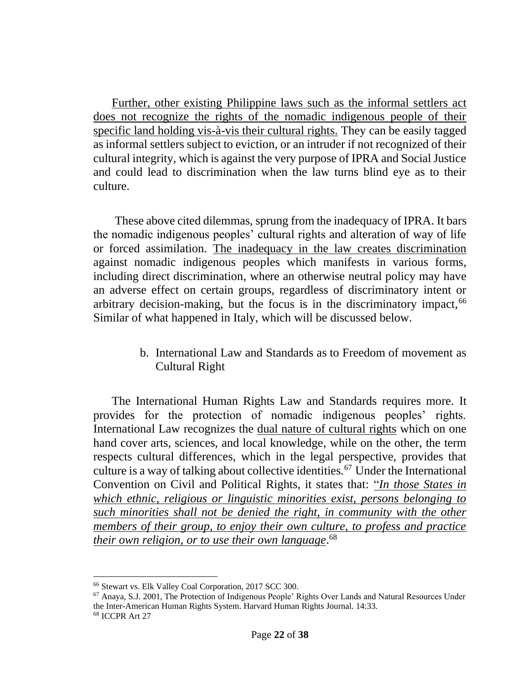Further, other existing Philippine laws such as the informal settlers act does not recognize the rights of the nomadic indigenous people of their specific land holding vis-à-vis their cultural rights. They can be easily tagged as informal settlers subject to eviction, or an intruder if not recognized of their cultural integrity, which is against the very purpose of IPRA and Social Justice and could lead to discrimination when the law turns blind eye as to their culture.

These above cited dilemmas, sprung from the inadequacy of IPRA. It bars the nomadic indigenous peoples' cultural rights and alteration of way of life or forced assimilation. The inadequacy in the law creates discrimination against nomadic indigenous peoples which manifests in various forms, including direct discrimination, where an otherwise neutral policy may have an adverse effect on certain groups, regardless of discriminatory intent or arbitrary decision-making, but the focus is in the discriminatory impact, 66 Similar of what happened in Italy, which will be discussed below.

> b. International Law and Standards as to Freedom of movement as Cultural Right

The International Human Rights Law and Standards requires more. It provides for the protection of nomadic indigenous peoples' rights. International Law recognizes the dual nature of cultural rights which on one hand cover arts, sciences, and local knowledge, while on the other, the term respects cultural differences, which in the legal perspective, provides that culture is a way of talking about collective identities.<sup>67</sup> Under the International Convention on Civil and Political Rights, it states that: "*In those States in which ethnic, religious or linguistic minorities exist, persons belonging to such minorities shall not be denied the right, in community with the other members of their group, to enjoy their own culture, to profess and practice their own religion, or to use their own language*. 68

<sup>66</sup> Stewart vs. Elk Valley Coal Corporation, 2017 SCC 300.

<sup>67</sup> Anaya, S.J. 2001, The Protection of Indigenous People' Rights Over Lands and Natural Resources Under the Inter-American Human Rights System. Harvard Human Rights Journal. 14:33. <sup>68</sup> ICCPR Art 27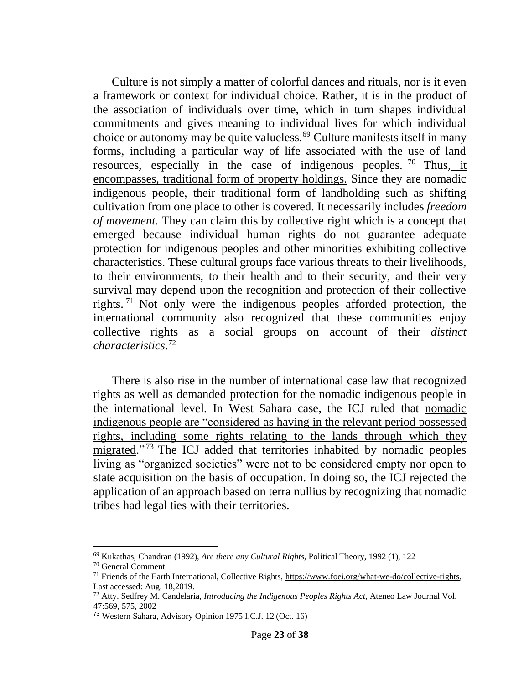Culture is not simply a matter of colorful dances and rituals, nor is it even a framework or context for individual choice. Rather, it is in the product of the association of individuals over time, which in turn shapes individual commitments and gives meaning to individual lives for which individual choice or autonomy may be quite valueless.<sup>69</sup> Culture manifests itself in many forms, including a particular way of life associated with the use of land resources, especially in the case of indigenous peoples. <sup>70</sup> Thus, it encompasses, traditional form of property holdings. Since they are nomadic indigenous people, their traditional form of landholding such as shifting cultivation from one place to other is covered. It necessarily includes *freedom of movement*. They can claim this by collective right which is a concept that emerged because individual human rights do not guarantee adequate protection for indigenous peoples and other minorities exhibiting collective characteristics. These cultural groups face various threats to their livelihoods, to their environments, to their health and to their security, and their very survival may depend upon the recognition and protection of their collective rights. <sup>71</sup> Not only were the indigenous peoples afforded protection, the international community also recognized that these communities enjoy collective rights as a social groups on account of their *distinct characteristics*. 72

There is also rise in the number of international case law that recognized rights as well as demanded protection for the nomadic indigenous people in the international level. In West Sahara case, the ICJ ruled that nomadic indigenous people are "considered as having in the relevant period possessed rights, including some rights relating to the lands through which they migrated." <sup>73</sup> The ICJ added that territories inhabited by nomadic peoples living as "organized societies" were not to be considered empty nor open to state acquisition on the basis of occupation. In doing so, the ICJ rejected the application of an approach based on terra nullius by recognizing that nomadic tribes had legal ties with their territories.

<sup>69</sup> Kukathas, Chandran (1992), *Are there any Cultural Rights*, Political Theory, 1992 (1), 122

<sup>70</sup> General Comment

<sup>71</sup> Friends of the Earth International, Collective Rights, [https://www.foei.org/what-we-do/collective-rights,](https://www.foei.org/what-we-do/collective-rights) Last accessed: Aug. 18,2019.

<sup>72</sup> Atty. Sedfrey M. Candelaria, *Introducing the Indigenous Peoples Rights Act*, Ateneo Law Journal Vol. 47:569, 575, 2002

<sup>73</sup> Western Sahara, Advisory Opinion 1975 I.C.J. 12 (Oct. 16)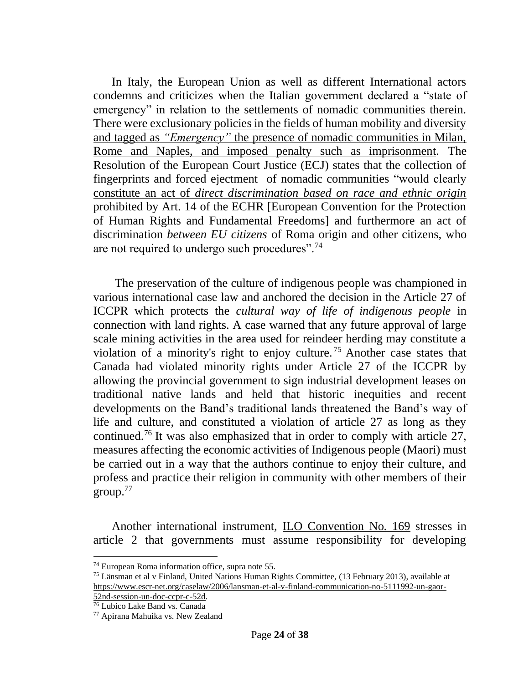In Italy, the European Union as well as different International actors condemns and criticizes when the Italian government declared a "state of emergency" in relation to the settlements of nomadic communities therein. There were exclusionary policies in the fields of human mobility and diversity and tagged as *"Emergency"* the presence of nomadic communities in Milan, Rome and Naples, and imposed penalty such as imprisonment. The Resolution of the European Court Justice (ECJ) states that the collection of fingerprints and forced ejectment of nomadic communities "would clearly constitute an act of *direct discrimination based on race and ethnic origin*  prohibited by Art. 14 of the ECHR [European Convention for the Protection of Human Rights and Fundamental Freedoms] and furthermore an act of discrimination *between EU citizens* of Roma origin and other citizens, who are not required to undergo such procedures".<sup>74</sup>

The preservation of the culture of indigenous people was championed in various international case law and anchored the decision in the Article 27 of ICCPR which protects the *cultural way of life of indigenous people* in connection with land rights. A case warned that any future approval of large scale mining activities in the area used for reindeer herding may constitute a violation of a minority's right to enjoy culture. <sup>75</sup> Another case states that Canada had violated minority rights under Article 27 of the ICCPR by allowing the provincial government to sign industrial development leases on traditional native lands and held that historic inequities and recent developments on the Band's traditional lands threatened the Band's way of life and culture, and constituted a violation of article 27 as long as they continued.<sup>76</sup> It was also emphasized that in order to comply with article 27, measures affecting the economic activities of Indigenous people (Maori) must be carried out in a way that the authors continue to enjoy their culture, and profess and practice their religion in community with other members of their  $\text{group.}^{77}$ 

Another international instrument, ILO Convention No. 169 stresses in article 2 that governments must assume responsibility for developing

<sup>76</sup> Lubico Lake Band vs. Canada

<sup>74</sup> European Roma information office, supra note 55.

<sup>75</sup> Länsman et al v Finland, United Nations Human Rights Committee, (13 February 2013), available at [https://www.escr-net.org/caselaw/2006/lansman-et-al-v-finland-communication-no-5111992-un-gaor-](https://www.escr-net.org/caselaw/2006/lansman-et-al-v-finland-communication-no-5111992-un-gaor-52nd-session-un-doc-ccpr-c-52d)[52nd-session-un-doc-ccpr-c-52d.](https://www.escr-net.org/caselaw/2006/lansman-et-al-v-finland-communication-no-5111992-un-gaor-52nd-session-un-doc-ccpr-c-52d)

<sup>77</sup> Apirana Mahuika vs. New Zealand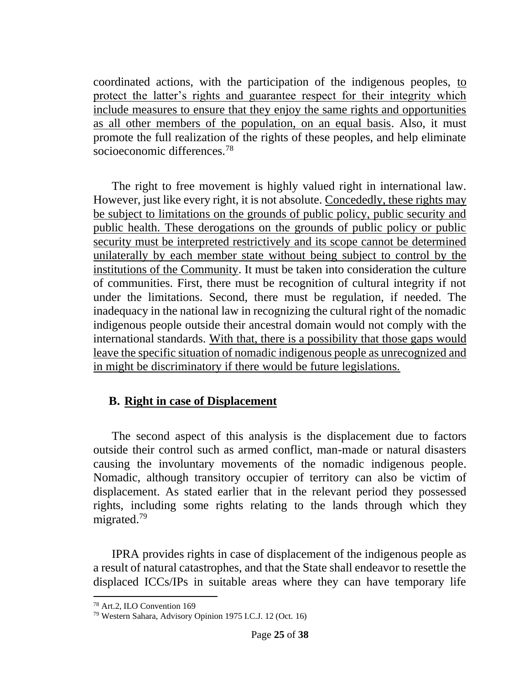coordinated actions, with the participation of the indigenous peoples, to protect the latter's rights and guarantee respect for their integrity which include measures to ensure that they enjoy the same rights and opportunities as all other members of the population, on an equal basis. Also, it must promote the full realization of the rights of these peoples, and help eliminate socioeconomic differences.<sup>78</sup>

The right to free movement is highly valued right in international law. However, just like every right, it is not absolute. Concededly, these rights may be subject to limitations on the grounds of public policy, public security and public health. These derogations on the grounds of public policy or public security must be interpreted restrictively and its scope cannot be determined unilaterally by each member state without being subject to control by the institutions of the Community. It must be taken into consideration the culture of communities. First, there must be recognition of cultural integrity if not under the limitations. Second, there must be regulation, if needed. The inadequacy in the national law in recognizing the cultural right of the nomadic indigenous people outside their ancestral domain would not comply with the international standards. With that, there is a possibility that those gaps would leave the specific situation of nomadic indigenous people as unrecognized and in might be discriminatory if there would be future legislations.

# **B. Right in case of Displacement**

The second aspect of this analysis is the displacement due to factors outside their control such as armed conflict, man-made or natural disasters causing the involuntary movements of the nomadic indigenous people. Nomadic, although transitory occupier of territory can also be victim of displacement. As stated earlier that in the relevant period they possessed rights, including some rights relating to the lands through which they migrated.<sup>79</sup>

IPRA provides rights in case of displacement of the indigenous people as a result of natural catastrophes, and that the State shall endeavor to resettle the displaced ICCs/IPs in suitable areas where they can have temporary life

<sup>78</sup> Art.2, ILO Convention 169

<sup>79</sup> Western Sahara, Advisory Opinion 1975 I.C.J. 12 (Oct. 16)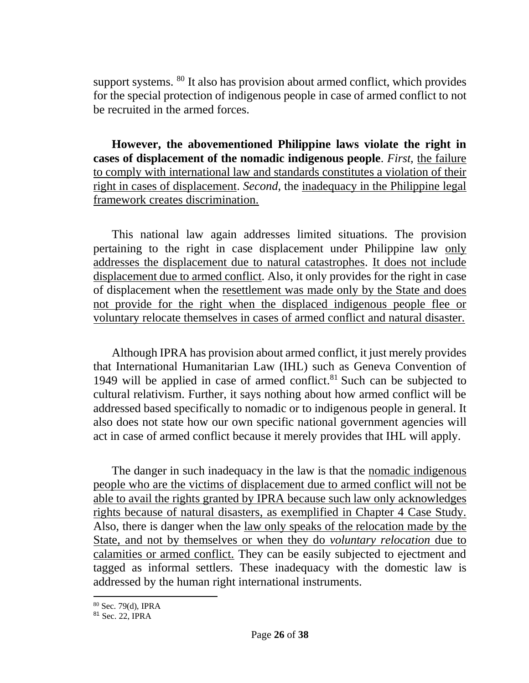support systems. <sup>80</sup> It also has provision about armed conflict, which provides for the special protection of indigenous people in case of armed conflict to not be recruited in the armed forces.

**However, the abovementioned Philippine laws violate the right in cases of displacement of the nomadic indigenous people**. *First,* the failure to comply with international law and standards constitutes a violation of their right in cases of displacement. *Second*, the inadequacy in the Philippine legal framework creates discrimination.

This national law again addresses limited situations. The provision pertaining to the right in case displacement under Philippine law only addresses the displacement due to natural catastrophes. It does not include displacement due to armed conflict. Also, it only provides for the right in case of displacement when the resettlement was made only by the State and does not provide for the right when the displaced indigenous people flee or voluntary relocate themselves in cases of armed conflict and natural disaster.

Although IPRA has provision about armed conflict, it just merely provides that International Humanitarian Law (IHL) such as Geneva Convention of 1949 will be applied in case of armed conflict. <sup>81</sup> Such can be subjected to cultural relativism. Further, it says nothing about how armed conflict will be addressed based specifically to nomadic or to indigenous people in general. It also does not state how our own specific national government agencies will act in case of armed conflict because it merely provides that IHL will apply.

The danger in such inadequacy in the law is that the nomadic indigenous people who are the victims of displacement due to armed conflict will not be able to avail the rights granted by IPRA because such law only acknowledges rights because of natural disasters, as exemplified in Chapter 4 Case Study. Also, there is danger when the law only speaks of the relocation made by the State, and not by themselves or when they do *voluntary relocation* due to calamities or armed conflict. They can be easily subjected to ejectment and tagged as informal settlers. These inadequacy with the domestic law is addressed by the human right international instruments.

<sup>80</sup> Sec. 79(d), IPRA

<sup>81</sup> Sec. 22, IPRA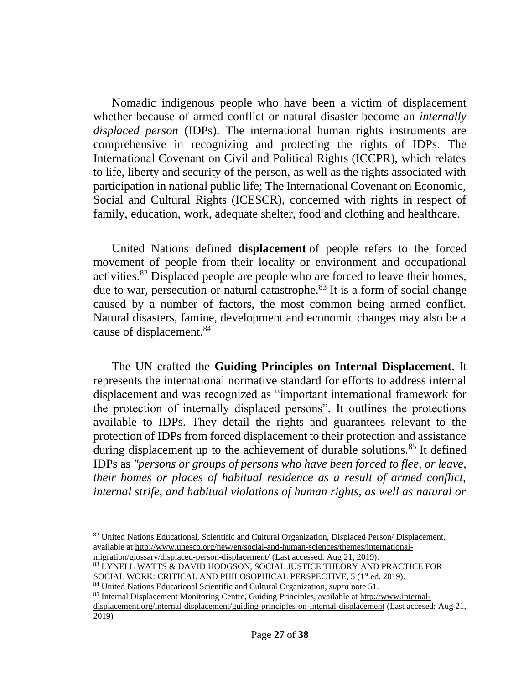Nomadic indigenous people who have been a victim of displacement whether because of armed conflict or natural disaster become an *internally displaced person* (IDPs). The international human rights instruments are comprehensive in recognizing and protecting the rights of IDPs. The International Covenant on Civil and Political Rights (ICCPR), which relates to life, liberty and security of the person, as well as the rights associated with participation in national public life; The International Covenant on Economic, Social and Cultural Rights (ICESCR), concerned with rights in respect of family, education, work, adequate shelter, food and clothing and healthcare.

United Nations defined **displacement** of people refers to the forced movement of people from their locality or environment and occupational activities.<sup>82</sup> Displaced people are people who are forced to leave their homes, due to war, persecution or natural catastrophe.<sup>83</sup> It is a form of social change caused by a number of factors, the most common being armed conflict. Natural disasters, famine, development and economic changes may also be a cause of displacement.<sup>84</sup>

The UN crafted the **Guiding Principles on Internal Displacement**. It represents the international normative standard for efforts to address internal displacement and was recognized as "important international framework for the protection of internally displaced persons". It outlines the protections available to IDPs. They detail the rights and guarantees relevant to the protection of IDPs from forced displacement to their protection and assistance during displacement up to the achievement of durable solutions.<sup>85</sup> It defined IDPs as *"persons or groups of persons who have been forced to flee, or leave, their homes or places of habitual residence as a result of armed conflict, internal strife, and habitual violations of human rights, as well as natural or* 

<sup>83</sup> LYNELL WATTS & DAVID HODGSON, SOCIAL JUSTICE THEORY AND PRACTICE FOR

<sup>82</sup> United Nations Educational, Scientific and Cultural Organization, Displaced Person/Displacement, available at [http://www.unesco.org/new/en/social-and-human-sciences/themes/international](http://www.unesco.org/new/en/social-and-human-sciences/themes/international-migration/glossary/displaced-person-displacement/)[migration/glossary/displaced-person-displacement/](http://www.unesco.org/new/en/social-and-human-sciences/themes/international-migration/glossary/displaced-person-displacement/) (Last accessed: Aug 21, 2019).

SOCIAL WORK: CRITICAL AND PHILOSOPHICAL PERSPECTIVE, 5 (1<sup>st</sup> ed. 2019).

<sup>84</sup> United Nations Educational Scientific and Cultural Organization, *supra* note 51.

<sup>85</sup> Internal Displacement Monitoring Centre, Guiding Principles, available a[t http://www.internal](http://www.internal-displacement.org/internal-displacement/guiding-principles-on-internal-displacement)[displacement.org/internal-displacement/guiding-principles-on-internal-displacement](http://www.internal-displacement.org/internal-displacement/guiding-principles-on-internal-displacement) (Last accesed: Aug 21, 2019)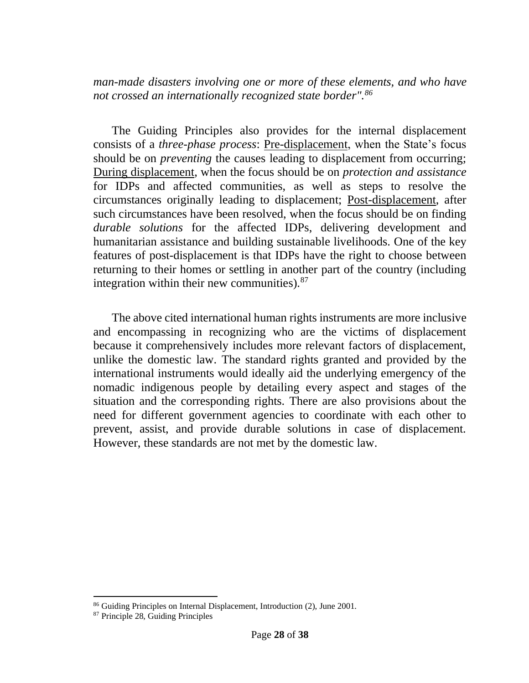*man-made disasters involving one or more of these elements, and who have not crossed an internationally recognized state border".<sup>86</sup>*

The Guiding Principles also provides for the internal displacement consists of a *three-phase process*: Pre-displacement, when the State's focus should be on *preventing* the causes leading to displacement from occurring; During displacement, when the focus should be on *protection and assistance* for IDPs and affected communities, as well as steps to resolve the circumstances originally leading to displacement; Post-displacement, after such circumstances have been resolved, when the focus should be on finding *durable solutions* for the affected IDPs, delivering development and humanitarian assistance and building sustainable livelihoods. One of the key features of post-displacement is that IDPs have the right to choose between returning to their homes or settling in another part of the country (including integration within their new communities).<sup>87</sup>

The above cited international human rights instruments are more inclusive and encompassing in recognizing who are the victims of displacement because it comprehensively includes more relevant factors of displacement, unlike the domestic law. The standard rights granted and provided by the international instruments would ideally aid the underlying emergency of the nomadic indigenous people by detailing every aspect and stages of the situation and the corresponding rights. There are also provisions about the need for different government agencies to coordinate with each other to prevent, assist, and provide durable solutions in case of displacement. However, these standards are not met by the domestic law.

<sup>86</sup> Guiding Principles on Internal Displacement, Introduction (2), June 2001.

<sup>87</sup> Principle 28, Guiding Principles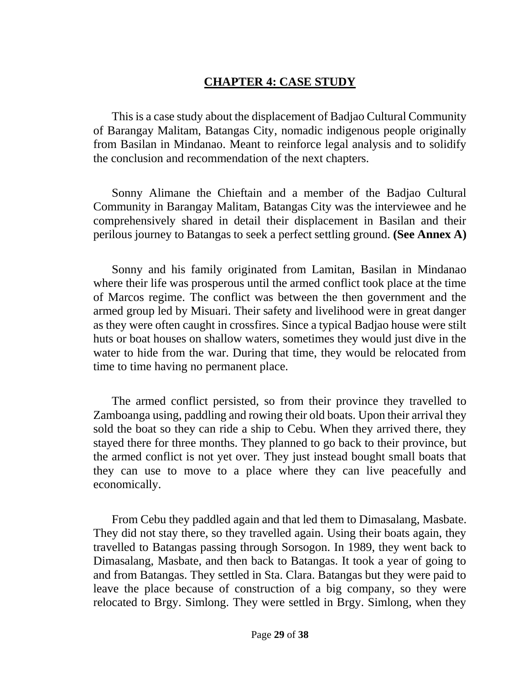# **CHAPTER 4: CASE STUDY**

This is a case study about the displacement of Badjao Cultural Community of Barangay Malitam, Batangas City, nomadic indigenous people originally from Basilan in Mindanao. Meant to reinforce legal analysis and to solidify the conclusion and recommendation of the next chapters.

Sonny Alimane the Chieftain and a member of the Badjao Cultural Community in Barangay Malitam, Batangas City was the interviewee and he comprehensively shared in detail their displacement in Basilan and their perilous journey to Batangas to seek a perfect settling ground. **(See Annex A)**

Sonny and his family originated from Lamitan, Basilan in Mindanao where their life was prosperous until the armed conflict took place at the time of Marcos regime. The conflict was between the then government and the armed group led by Misuari. Their safety and livelihood were in great danger as they were often caught in crossfires. Since a typical Badjao house were stilt huts or boat houses on shallow waters, sometimes they would just dive in the water to hide from the war. During that time, they would be relocated from time to time having no permanent place.

The armed conflict persisted, so from their province they travelled to Zamboanga using, paddling and rowing their old boats. Upon their arrival they sold the boat so they can ride a ship to Cebu. When they arrived there, they stayed there for three months. They planned to go back to their province, but the armed conflict is not yet over. They just instead bought small boats that they can use to move to a place where they can live peacefully and economically.

From Cebu they paddled again and that led them to Dimasalang, Masbate. They did not stay there, so they travelled again. Using their boats again, they travelled to Batangas passing through Sorsogon. In 1989, they went back to Dimasalang, Masbate, and then back to Batangas. It took a year of going to and from Batangas. They settled in Sta. Clara. Batangas but they were paid to leave the place because of construction of a big company, so they were relocated to Brgy. Simlong. They were settled in Brgy. Simlong, when they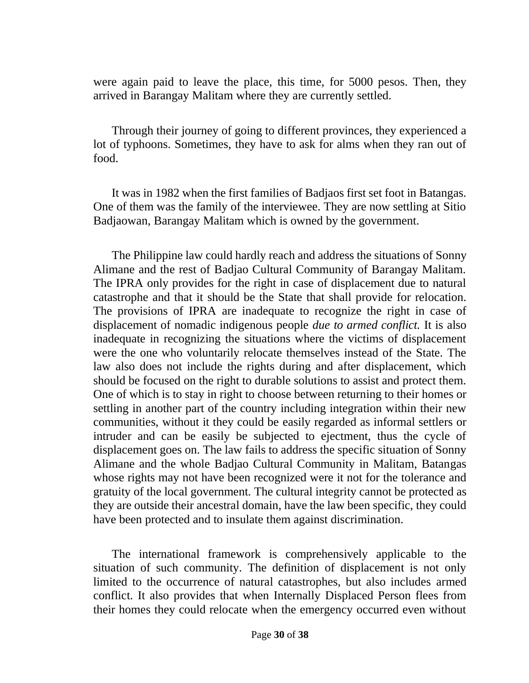were again paid to leave the place, this time, for 5000 pesos. Then, they arrived in Barangay Malitam where they are currently settled.

Through their journey of going to different provinces, they experienced a lot of typhoons. Sometimes, they have to ask for alms when they ran out of food.

It was in 1982 when the first families of Badjaos first set foot in Batangas. One of them was the family of the interviewee. They are now settling at Sitio Badjaowan, Barangay Malitam which is owned by the government.

The Philippine law could hardly reach and address the situations of Sonny Alimane and the rest of Badjao Cultural Community of Barangay Malitam. The IPRA only provides for the right in case of displacement due to natural catastrophe and that it should be the State that shall provide for relocation. The provisions of IPRA are inadequate to recognize the right in case of displacement of nomadic indigenous people *due to armed conflict.* It is also inadequate in recognizing the situations where the victims of displacement were the one who voluntarily relocate themselves instead of the State. The law also does not include the rights during and after displacement, which should be focused on the right to durable solutions to assist and protect them. One of which is to stay in right to choose between returning to their homes or settling in another part of the country including integration within their new communities, without it they could be easily regarded as informal settlers or intruder and can be easily be subjected to ejectment, thus the cycle of displacement goes on. The law fails to address the specific situation of Sonny Alimane and the whole Badjao Cultural Community in Malitam, Batangas whose rights may not have been recognized were it not for the tolerance and gratuity of the local government. The cultural integrity cannot be protected as they are outside their ancestral domain, have the law been specific, they could have been protected and to insulate them against discrimination.

The international framework is comprehensively applicable to the situation of such community. The definition of displacement is not only limited to the occurrence of natural catastrophes, but also includes armed conflict. It also provides that when Internally Displaced Person flees from their homes they could relocate when the emergency occurred even without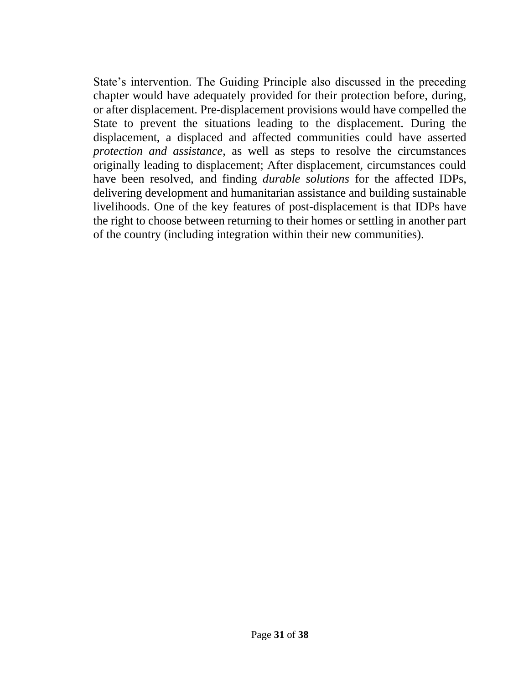State's intervention. The Guiding Principle also discussed in the preceding chapter would have adequately provided for their protection before, during, or after displacement. Pre-displacement provisions would have compelled the State to prevent the situations leading to the displacement. During the displacement, a displaced and affected communities could have asserted *protection and assistance*, as well as steps to resolve the circumstances originally leading to displacement; After displacement, circumstances could have been resolved, and finding *durable solutions* for the affected IDPs, delivering development and humanitarian assistance and building sustainable livelihoods. One of the key features of post-displacement is that IDPs have the right to choose between returning to their homes or settling in another part of the country (including integration within their new communities).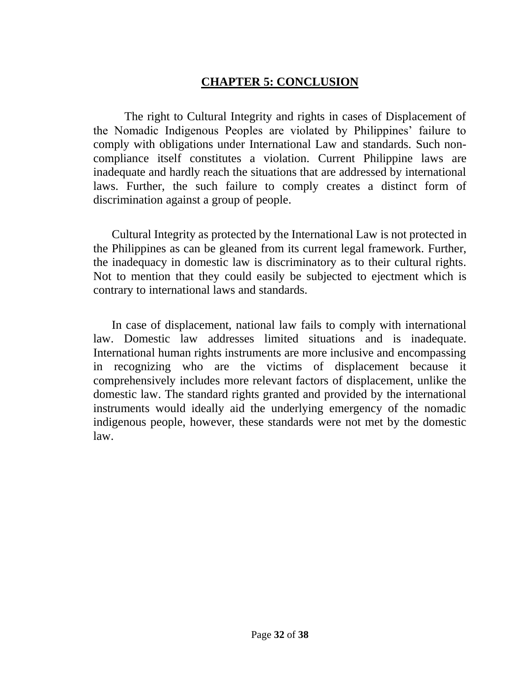# **CHAPTER 5: CONCLUSION**

The right to Cultural Integrity and rights in cases of Displacement of the Nomadic Indigenous Peoples are violated by Philippines' failure to comply with obligations under International Law and standards. Such noncompliance itself constitutes a violation. Current Philippine laws are inadequate and hardly reach the situations that are addressed by international laws. Further, the such failure to comply creates a distinct form of discrimination against a group of people.

Cultural Integrity as protected by the International Law is not protected in the Philippines as can be gleaned from its current legal framework. Further, the inadequacy in domestic law is discriminatory as to their cultural rights. Not to mention that they could easily be subjected to ejectment which is contrary to international laws and standards.

In case of displacement, national law fails to comply with international law. Domestic law addresses limited situations and is inadequate. International human rights instruments are more inclusive and encompassing in recognizing who are the victims of displacement because it comprehensively includes more relevant factors of displacement, unlike the domestic law. The standard rights granted and provided by the international instruments would ideally aid the underlying emergency of the nomadic indigenous people, however, these standards were not met by the domestic law.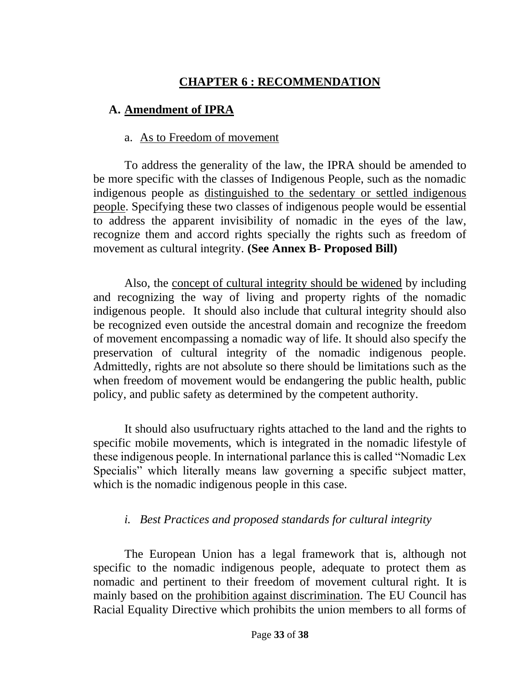# **CHAPTER 6 : RECOMMENDATION**

# **A. Amendment of IPRA**

# a. As to Freedom of movement

To address the generality of the law, the IPRA should be amended to be more specific with the classes of Indigenous People, such as the nomadic indigenous people as distinguished to the sedentary or settled indigenous people. Specifying these two classes of indigenous people would be essential to address the apparent invisibility of nomadic in the eyes of the law, recognize them and accord rights specially the rights such as freedom of movement as cultural integrity. **(See Annex B- Proposed Bill)**

Also, the concept of cultural integrity should be widened by including and recognizing the way of living and property rights of the nomadic indigenous people. It should also include that cultural integrity should also be recognized even outside the ancestral domain and recognize the freedom of movement encompassing a nomadic way of life. It should also specify the preservation of cultural integrity of the nomadic indigenous people. Admittedly, rights are not absolute so there should be limitations such as the when freedom of movement would be endangering the public health, public policy, and public safety as determined by the competent authority.

It should also usufructuary rights attached to the land and the rights to specific mobile movements, which is integrated in the nomadic lifestyle of these indigenous people. In international parlance this is called "Nomadic Lex Specialis" which literally means law governing a specific subject matter, which is the nomadic indigenous people in this case.

# *i. Best Practices and proposed standards for cultural integrity*

The European Union has a legal framework that is, although not specific to the nomadic indigenous people, adequate to protect them as nomadic and pertinent to their freedom of movement cultural right. It is mainly based on the prohibition against discrimination. The EU Council has Racial Equality Directive which prohibits the union members to all forms of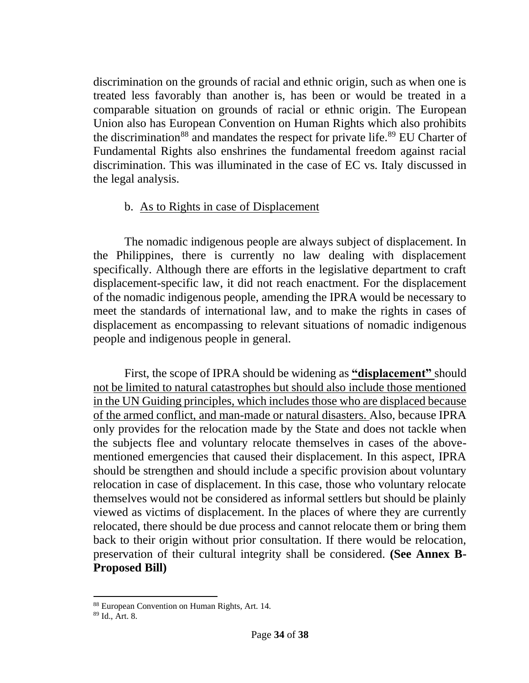discrimination on the grounds of racial and ethnic origin, such as when one is treated less favorably than another is, has been or would be treated in a comparable situation on grounds of racial or ethnic origin. The European Union also has European Convention on Human Rights which also prohibits the discrimination<sup>88</sup> and mandates the respect for private life.<sup>89</sup> EU Charter of Fundamental Rights also enshrines the fundamental freedom against racial discrimination. This was illuminated in the case of EC vs. Italy discussed in the legal analysis.

## b. As to Rights in case of Displacement

The nomadic indigenous people are always subject of displacement. In the Philippines, there is currently no law dealing with displacement specifically. Although there are efforts in the legislative department to craft displacement-specific law, it did not reach enactment. For the displacement of the nomadic indigenous people, amending the IPRA would be necessary to meet the standards of international law, and to make the rights in cases of displacement as encompassing to relevant situations of nomadic indigenous people and indigenous people in general.

First, the scope of IPRA should be widening as **"displacement"** should not be limited to natural catastrophes but should also include those mentioned in the UN Guiding principles, which includes those who are displaced because of the armed conflict, and man-made or natural disasters. Also, because IPRA only provides for the relocation made by the State and does not tackle when the subjects flee and voluntary relocate themselves in cases of the abovementioned emergencies that caused their displacement. In this aspect, IPRA should be strengthen and should include a specific provision about voluntary relocation in case of displacement. In this case, those who voluntary relocate themselves would not be considered as informal settlers but should be plainly viewed as victims of displacement. In the places of where they are currently relocated, there should be due process and cannot relocate them or bring them back to their origin without prior consultation. If there would be relocation, preservation of their cultural integrity shall be considered. **(See Annex B-Proposed Bill)**

<sup>88</sup> European Convention on Human Rights, Art. 14.

<sup>89</sup> Id., Art. 8.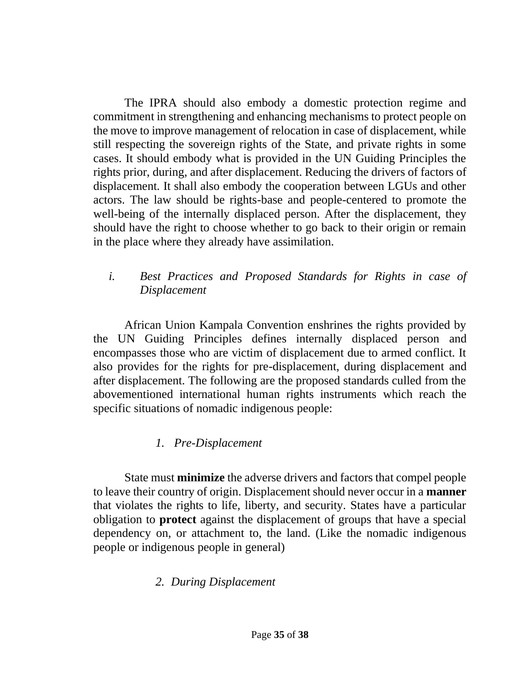The IPRA should also embody a domestic protection regime and commitment in strengthening and enhancing mechanisms to protect people on the move to improve management of relocation in case of displacement, while still respecting the sovereign rights of the State, and private rights in some cases. It should embody what is provided in the UN Guiding Principles the rights prior, during, and after displacement. Reducing the drivers of factors of displacement. It shall also embody the cooperation between LGUs and other actors. The law should be rights-base and people-centered to promote the well-being of the internally displaced person. After the displacement, they should have the right to choose whether to go back to their origin or remain in the place where they already have assimilation.

# *i. Best Practices and Proposed Standards for Rights in case of Displacement*

African Union Kampala Convention enshrines the rights provided by the UN Guiding Principles defines internally displaced person and encompasses those who are victim of displacement due to armed conflict. It also provides for the rights for pre-displacement, during displacement and after displacement. The following are the proposed standards culled from the abovementioned international human rights instruments which reach the specific situations of nomadic indigenous people:

# *1. Pre-Displacement*

State must **minimize** the adverse drivers and factors that compel people to leave their country of origin. Displacement should never occur in a **manner** that violates the rights to life, liberty, and security. States have a particular obligation to **protect** against the displacement of groups that have a special dependency on, or attachment to, the land. (Like the nomadic indigenous people or indigenous people in general)

# *2. During Displacement*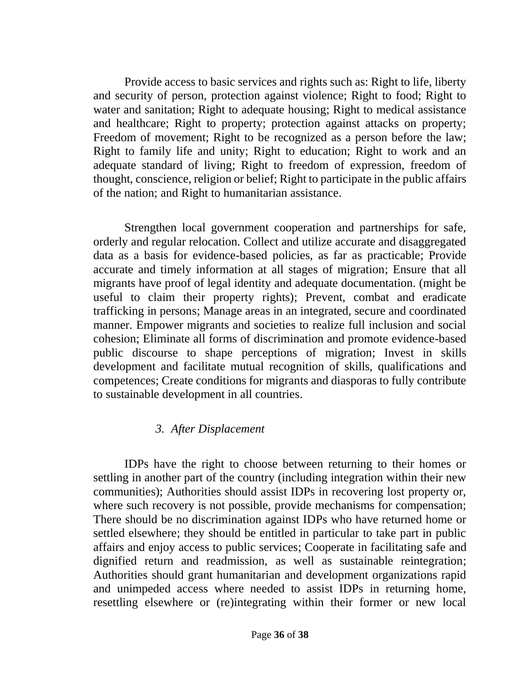Provide access to basic services and rights such as: Right to life, liberty and security of person, protection against violence; Right to food; Right to water and sanitation; Right to adequate housing; Right to medical assistance and healthcare; Right to property; protection against attacks on property; Freedom of movement; Right to be recognized as a person before the law; Right to family life and unity; Right to education; Right to work and an adequate standard of living; Right to freedom of expression, freedom of thought, conscience, religion or belief; Right to participate in the public affairs of the nation; and Right to humanitarian assistance.

Strengthen local government cooperation and partnerships for safe, orderly and regular relocation. Collect and utilize accurate and disaggregated data as a basis for evidence-based policies, as far as practicable; Provide accurate and timely information at all stages of migration; Ensure that all migrants have proof of legal identity and adequate documentation. (might be useful to claim their property rights); Prevent, combat and eradicate trafficking in persons; Manage areas in an integrated, secure and coordinated manner. Empower migrants and societies to realize full inclusion and social cohesion; Eliminate all forms of discrimination and promote evidence-based public discourse to shape perceptions of migration; Invest in skills development and facilitate mutual recognition of skills, qualifications and competences; Create conditions for migrants and diasporas to fully contribute to sustainable development in all countries.

## *3. After Displacement*

IDPs have the right to choose between returning to their homes or settling in another part of the country (including integration within their new communities); Authorities should assist IDPs in recovering lost property or, where such recovery is not possible, provide mechanisms for compensation; There should be no discrimination against IDPs who have returned home or settled elsewhere; they should be entitled in particular to take part in public affairs and enjoy access to public services; Cooperate in facilitating safe and dignified return and readmission, as well as sustainable reintegration; Authorities should grant humanitarian and development organizations rapid and unimpeded access where needed to assist IDPs in returning home, resettling elsewhere or (re)integrating within their former or new local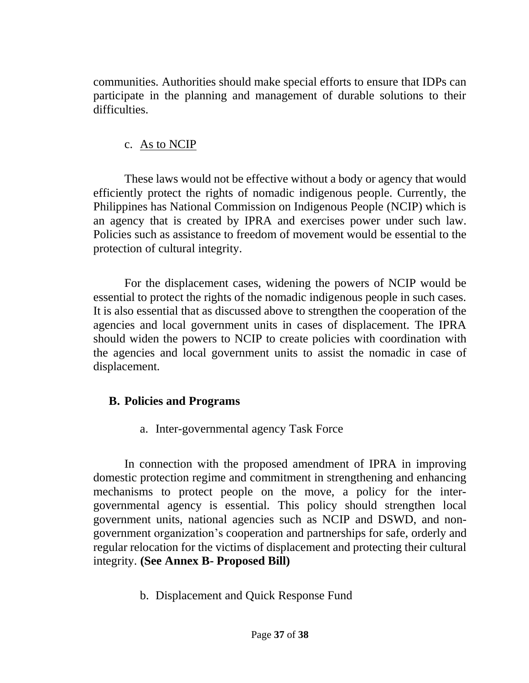communities. Authorities should make special efforts to ensure that IDPs can participate in the planning and management of durable solutions to their difficulties.

## c. As to NCIP

These laws would not be effective without a body or agency that would efficiently protect the rights of nomadic indigenous people. Currently, the Philippines has National Commission on Indigenous People (NCIP) which is an agency that is created by IPRA and exercises power under such law. Policies such as assistance to freedom of movement would be essential to the protection of cultural integrity.

For the displacement cases, widening the powers of NCIP would be essential to protect the rights of the nomadic indigenous people in such cases. It is also essential that as discussed above to strengthen the cooperation of the agencies and local government units in cases of displacement. The IPRA should widen the powers to NCIP to create policies with coordination with the agencies and local government units to assist the nomadic in case of displacement.

## **B. Policies and Programs**

a. Inter-governmental agency Task Force

In connection with the proposed amendment of IPRA in improving domestic protection regime and commitment in strengthening and enhancing mechanisms to protect people on the move, a policy for the intergovernmental agency is essential. This policy should strengthen local government units, national agencies such as NCIP and DSWD, and nongovernment organization's cooperation and partnerships for safe, orderly and regular relocation for the victims of displacement and protecting their cultural integrity. **(See Annex B- Proposed Bill)**

b. Displacement and Quick Response Fund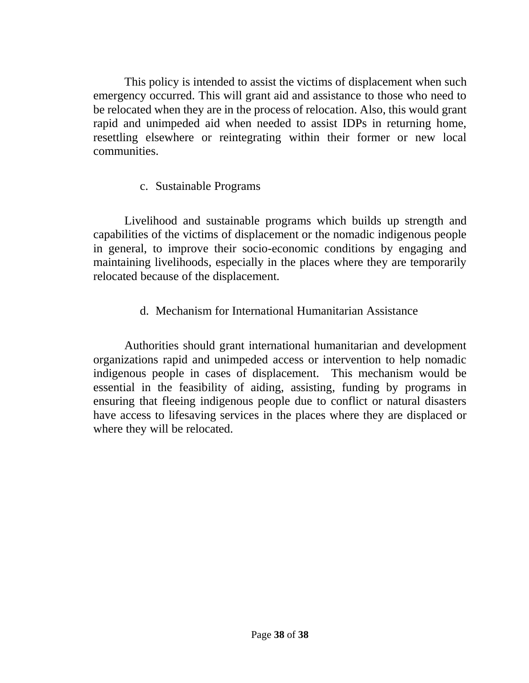This policy is intended to assist the victims of displacement when such emergency occurred. This will grant aid and assistance to those who need to be relocated when they are in the process of relocation. Also, this would grant rapid and unimpeded aid when needed to assist IDPs in returning home, resettling elsewhere or reintegrating within their former or new local communities.

# c. Sustainable Programs

Livelihood and sustainable programs which builds up strength and capabilities of the victims of displacement or the nomadic indigenous people in general, to improve their socio-economic conditions by engaging and maintaining livelihoods, especially in the places where they are temporarily relocated because of the displacement.

d. Mechanism for International Humanitarian Assistance

Authorities should grant international humanitarian and development organizations rapid and unimpeded access or intervention to help nomadic indigenous people in cases of displacement. This mechanism would be essential in the feasibility of aiding, assisting, funding by programs in ensuring that fleeing indigenous people due to conflict or natural disasters have access to lifesaving services in the places where they are displaced or where they will be relocated.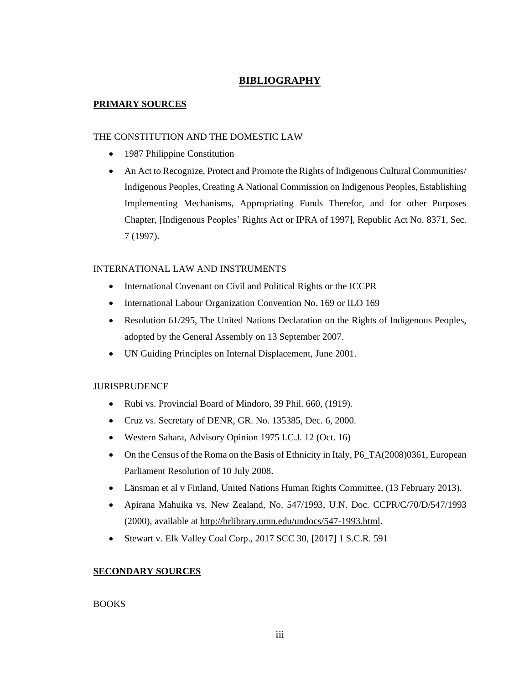#### **BIBLIOGRAPHY**

#### **PRIMARY SOURCES**

#### THE CONSTITUTION AND THE DOMESTIC LAW

- 1987 Philippine Constitution
- An Act to Recognize, Protect and Promote the Rights of Indigenous Cultural Communities/ Indigenous Peoples, Creating A National Commission on Indigenous Peoples, Establishing Implementing Mechanisms, Appropriating Funds Therefor, and for other Purposes Chapter, [Indigenous Peoples' Rights Act or IPRA of 1997], Republic Act No. 8371, Sec. 7 (1997).

#### INTERNATIONAL LAW AND INSTRUMENTS

- International Covenant on Civil and Political Rights or the ICCPR
- International Labour Organization Convention No. 169 or ILO 169
- Resolution 61/295, The United Nations Declaration on the Rights of Indigenous Peoples, adopted by the General Assembly on 13 September 2007.
- UN Guiding Principles on Internal Displacement, June 2001.

#### JURISPRUDENCE

- Rubi vs. Provincial Board of Mindoro, 39 Phil. 660, (1919).
- Cruz vs. Secretary of DENR, GR. No. 135385, Dec. 6, 2000.
- Western Sahara, Advisory Opinion 1975 I.C.J. 12 (Oct. 16)
- On the Census of the Roma on the Basis of Ethnicity in Italy, P6\_TA(2008)0361, European Parliament Resolution of 10 July 2008.
- Länsman et al v Finland, United Nations Human Rights Committee, (13 February 2013).
- Apirana Mahuika vs. New Zealand, No. 547/1993, U.N. Doc. CCPR/C/70/D/547/1993 (2000), available at [http://hrlibrary.umn.edu/undocs/547-1993.html.](http://hrlibrary.umn.edu/undocs/547-1993.html)
- Stewart v. Elk Valley Coal Corp., 2017 SCC 30, [2017] 1 S.C.R. 591

#### **SECONDARY SOURCES**

#### BOOKS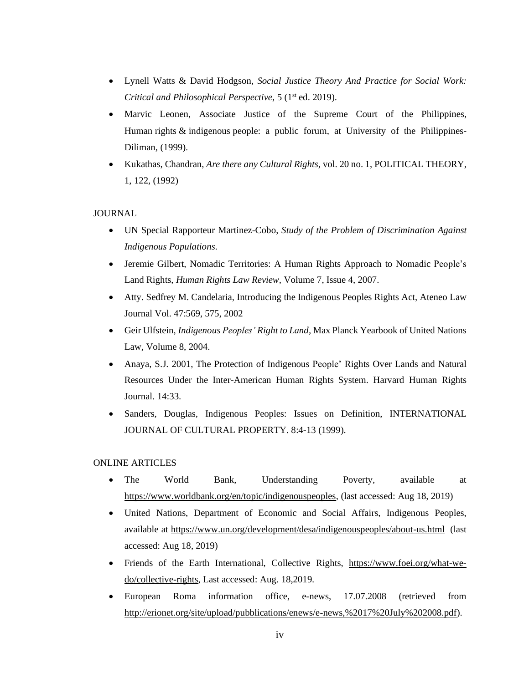- Lynell Watts & David Hodgson, *Social Justice Theory And Practice for Social Work: Critical and Philosophical Perspective*, 5 (1st ed. 2019).
- Marvic Leonen, Associate Justice of the Supreme Court of the Philippines, Human rights & indigenous people: a public forum, at University of the Philippines-Diliman, (1999).
- Kukathas, Chandran, *Are there any Cultural Rights*, vol. 20 no. 1, POLITICAL THEORY, 1, 122, (1992)

#### JOURNAL

- UN Special Rapporteur Martinez-Cobo, *Study of the Problem of Discrimination Against Indigenous Populations*.
- Jeremie Gilbert, Nomadic Territories: A Human Rights Approach to Nomadic People's Land Rights, *Human Rights Law Review,* Volume 7, Issue 4, 2007.
- Atty. Sedfrey M. Candelaria, Introducing the Indigenous Peoples Rights Act, Ateneo Law Journal Vol. 47:569, 575, 2002
- Geir Ulfstein, *Indigenous Peoples' Right to Land,* Max Planck Yearbook of United Nations Law, Volume 8, 2004.
- Anaya, S.J. 2001, The Protection of Indigenous People' Rights Over Lands and Natural Resources Under the Inter-American Human Rights System. Harvard Human Rights Journal. 14:33.
- Sanders, Douglas, Indigenous Peoples: Issues on Definition, INTERNATIONAL JOURNAL OF CULTURAL PROPERTY. 8:4-13 (1999).

#### ONLINE ARTICLES

- The World Bank, Understanding Poverty, available at [https://www.worldbank.org/en/topic/indigenouspeoples,](https://www.worldbank.org/en/topic/indigenouspeoples) (last accessed: Aug 18, 2019)
- United Nations, Department of Economic and Social Affairs, Indigenous Peoples, available at <https://www.un.org/development/desa/indigenouspeoples/about-us.html>(last accessed: Aug 18, 2019)
- Friends of the Earth International, Collective Rights, [https://www.foei.org/what-we](https://www.foei.org/what-we-do/collective-rights)[do/collective-rights,](https://www.foei.org/what-we-do/collective-rights) Last accessed: Aug. 18,2019.
- European Roma information office, e-news, 17.07.2008 (retrieved from [http://erionet.org/site/upload/pubblications/enews/e-news,%2017%20July%202008.pdf\)](http://erionet.org/site/upload/pubblications/enews/e-news,%2017%20July%202008.pdf).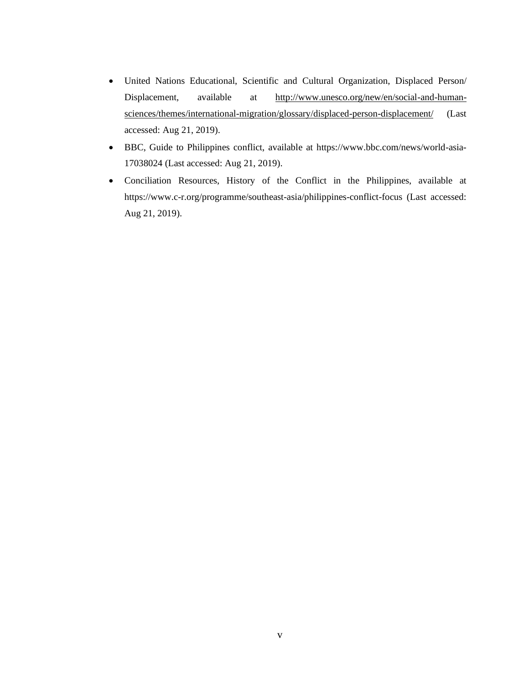- United Nations Educational, Scientific and Cultural Organization, Displaced Person/ Displacement, available at [http://www.unesco.org/new/en/social-and-human](http://www.unesco.org/new/en/social-and-human-sciences/themes/international-migration/glossary/displaced-person-displacement/)[sciences/themes/international-migration/glossary/displaced-person-displacement/](http://www.unesco.org/new/en/social-and-human-sciences/themes/international-migration/glossary/displaced-person-displacement/) (Last accessed: Aug 21, 2019).
- BBC, Guide to Philippines conflict, available at https://www.bbc.com/news/world-asia-17038024 (Last accessed: Aug 21, 2019).
- Conciliation Resources, History of the Conflict in the Philippines, available at https://www.c-r.org/programme/southeast-asia/philippines-conflict-focus (Last accessed: Aug 21, 2019).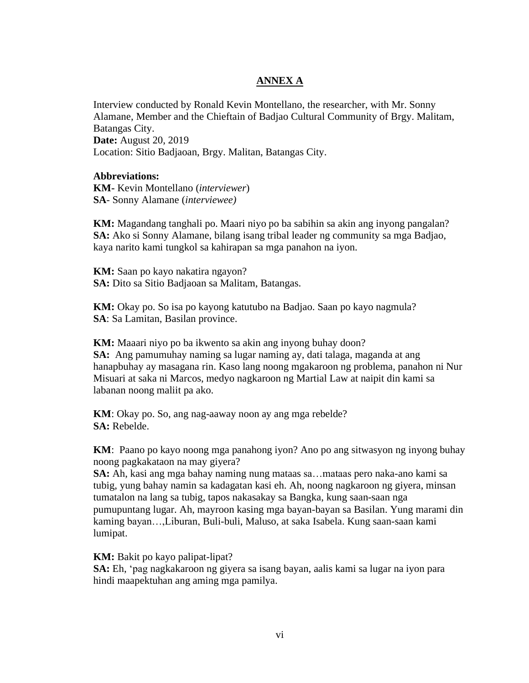#### **ANNEX A**

Interview conducted by Ronald Kevin Montellano, the researcher, with Mr. Sonny Alamane, Member and the Chieftain of Badjao Cultural Community of Brgy. Malitam, Batangas City. **Date:** August 20, 2019 Location: Sitio Badjaoan, Brgy. Malitan, Batangas City.

#### **Abbreviations:**

**KM-** Kevin Montellano (*interviewer*) **SA**- Sonny Alamane (*interviewee)*

**KM:** Magandang tanghali po. Maari niyo po ba sabihin sa akin ang inyong pangalan? **SA:** Ako si Sonny Alamane, bilang isang tribal leader ng community sa mga Badjao, kaya narito kami tungkol sa kahirapan sa mga panahon na iyon.

**KM:** Saan po kayo nakatira ngayon? **SA:** Dito sa Sitio Badjaoan sa Malitam, Batangas.

**KM:** Okay po. So isa po kayong katutubo na Badjao. Saan po kayo nagmula? **SA**: Sa Lamitan, Basilan province.

**KM:** Maaari niyo po ba ikwento sa akin ang inyong buhay doon? **SA:** Ang pamumuhay naming sa lugar naming ay, dati talaga, maganda at ang hanapbuhay ay masagana rin. Kaso lang noong mgakaroon ng problema, panahon ni Nur Misuari at saka ni Marcos, medyo nagkaroon ng Martial Law at naipit din kami sa labanan noong maliit pa ako.

**KM**: Okay po. So, ang nag-aaway noon ay ang mga rebelde? **SA:** Rebelde.

**KM**: Paano po kayo noong mga panahong iyon? Ano po ang sitwasyon ng inyong buhay noong pagkakataon na may giyera?

**SA:** Ah, kasi ang mga bahay naming nung mataas sa…mataas pero naka-ano kami sa tubig, yung bahay namin sa kadagatan kasi eh. Ah, noong nagkaroon ng giyera, minsan tumatalon na lang sa tubig, tapos nakasakay sa Bangka, kung saan-saan nga pumupuntang lugar. Ah, mayroon kasing mga bayan-bayan sa Basilan. Yung marami din kaming bayan…,Liburan, Buli-buli, Maluso, at saka Isabela. Kung saan-saan kami lumipat.

**KM:** Bakit po kayo palipat-lipat?

**SA:** Eh, 'pag nagkakaroon ng giyera sa isang bayan, aalis kami sa lugar na iyon para hindi maapektuhan ang aming mga pamilya.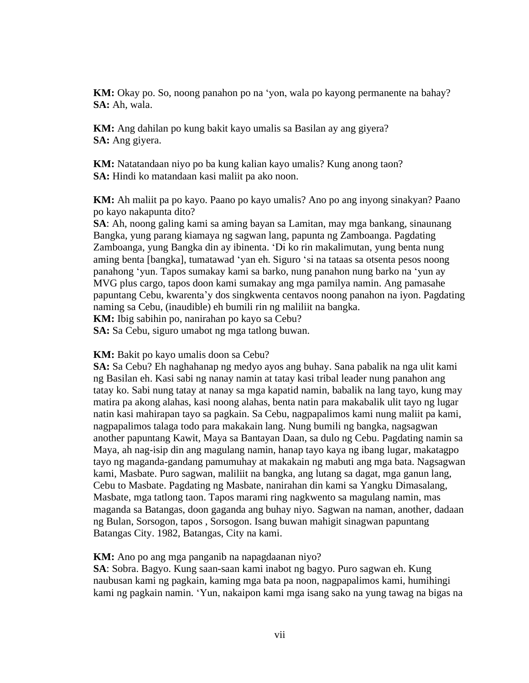**KM:** Okay po. So, noong panahon po na 'yon, wala po kayong permanente na bahay? **SA:** Ah, wala.

**KM:** Ang dahilan po kung bakit kayo umalis sa Basilan ay ang giyera? **SA:** Ang giyera.

**KM:** Natatandaan niyo po ba kung kalian kayo umalis? Kung anong taon? **SA:** Hindi ko matandaan kasi maliit pa ako noon.

**KM:** Ah maliit pa po kayo. Paano po kayo umalis? Ano po ang inyong sinakyan? Paano po kayo nakapunta dito?

**SA**: Ah, noong galing kami sa aming bayan sa Lamitan, may mga bankang, sinaunang Bangka, yung parang kiamaya ng sagwan lang, papunta ng Zamboanga. Pagdating Zamboanga, yung Bangka din ay ibinenta. 'Di ko rin makalimutan, yung benta nung aming benta [bangka], tumatawad 'yan eh. Siguro 'si na tataas sa otsenta pesos noong panahong 'yun. Tapos sumakay kami sa barko, nung panahon nung barko na 'yun ay MVG plus cargo, tapos doon kami sumakay ang mga pamilya namin. Ang pamasahe papuntang Cebu, kwarenta'y dos singkwenta centavos noong panahon na iyon. Pagdating naming sa Cebu, (inaudible) eh bumili rin ng maliliit na bangka.

**KM:** Ibig sabihin po, nanirahan po kayo sa Cebu?

**SA:** Sa Cebu, siguro umabot ng mga tatlong buwan.

#### **KM:** Bakit po kayo umalis doon sa Cebu?

**SA:** Sa Cebu? Eh naghahanap ng medyo ayos ang buhay. Sana pabalik na nga ulit kami ng Basilan eh. Kasi sabi ng nanay namin at tatay kasi tribal leader nung panahon ang tatay ko. Sabi nung tatay at nanay sa mga kapatid namin, babalik na lang tayo, kung may matira pa akong alahas, kasi noong alahas, benta natin para makabalik ulit tayo ng lugar natin kasi mahirapan tayo sa pagkain. Sa Cebu, nagpapalimos kami nung maliit pa kami, nagpapalimos talaga todo para makakain lang. Nung bumili ng bangka, nagsagwan another papuntang Kawit, Maya sa Bantayan Daan, sa dulo ng Cebu. Pagdating namin sa Maya, ah nag-isip din ang magulang namin, hanap tayo kaya ng ibang lugar, makatagpo tayo ng maganda-gandang pamumuhay at makakain ng mabuti ang mga bata. Nagsagwan kami, Masbate. Puro sagwan, maliliit na bangka, ang lutang sa dagat, mga ganun lang, Cebu to Masbate. Pagdating ng Masbate, nanirahan din kami sa Yangku Dimasalang, Masbate, mga tatlong taon. Tapos marami ring nagkwento sa magulang namin, mas maganda sa Batangas, doon gaganda ang buhay niyo. Sagwan na naman, another, dadaan ng Bulan, Sorsogon, tapos , Sorsogon. Isang buwan mahigit sinagwan papuntang Batangas City. 1982, Batangas, City na kami.

#### **KM:** Ano po ang mga panganib na napagdaanan niyo?

**SA**: Sobra. Bagyo. Kung saan-saan kami inabot ng bagyo. Puro sagwan eh. Kung naubusan kami ng pagkain, kaming mga bata pa noon, nagpapalimos kami, humihingi kami ng pagkain namin. 'Yun, nakaipon kami mga isang sako na yung tawag na bigas na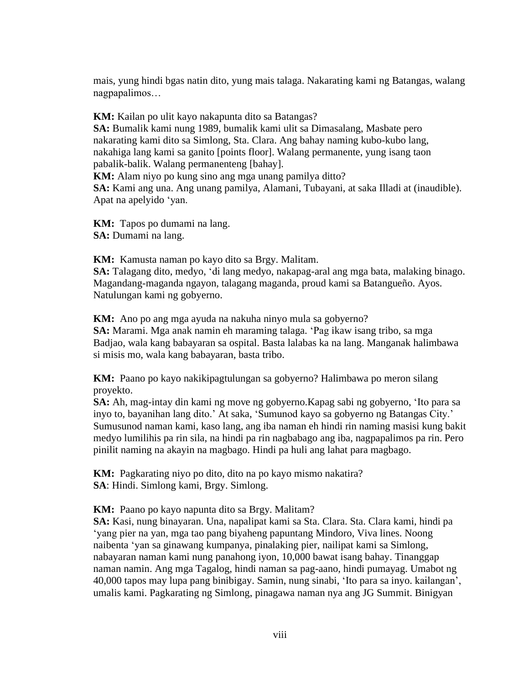mais, yung hindi bgas natin dito, yung mais talaga. Nakarating kami ng Batangas, walang nagpapalimos…

**KM:** Kailan po ulit kayo nakapunta dito sa Batangas?

**SA:** Bumalik kami nung 1989, bumalik kami ulit sa Dimasalang, Masbate pero nakarating kami dito sa Simlong, Sta. Clara. Ang bahay naming kubo-kubo lang, nakahiga lang kami sa ganito [points floor]. Walang permanente, yung isang taon pabalik-balik. Walang permanenteng [bahay].

**KM:** Alam niyo po kung sino ang mga unang pamilya ditto?

**SA:** Kami ang una. Ang unang pamilya, Alamani, Tubayani, at saka Illadi at (inaudible). Apat na apelyido 'yan.

**KM:** Tapos po dumami na lang. **SA:** Dumami na lang.

**KM:** Kamusta naman po kayo dito sa Brgy. Malitam.

**SA:** Talagang dito, medyo, 'di lang medyo, nakapag-aral ang mga bata, malaking binago. Magandang-maganda ngayon, talagang maganda, proud kami sa Batangueño. Ayos. Natulungan kami ng gobyerno.

**KM:** Ano po ang mga ayuda na nakuha ninyo mula sa gobyerno?

**SA:** Marami. Mga anak namin eh maraming talaga. 'Pag ikaw isang tribo, sa mga Badjao, wala kang babayaran sa ospital. Basta lalabas ka na lang. Manganak halimbawa si misis mo, wala kang babayaran, basta tribo.

**KM:** Paano po kayo nakikipagtulungan sa gobyerno? Halimbawa po meron silang proyekto.

**SA:** Ah, mag-intay din kami ng move ng gobyerno.Kapag sabi ng gobyerno, 'Ito para sa inyo to, bayanihan lang dito.' At saka, 'Sumunod kayo sa gobyerno ng Batangas City.' Sumusunod naman kami, kaso lang, ang iba naman eh hindi rin naming masisi kung bakit medyo lumilihis pa rin sila, na hindi pa rin nagbabago ang iba, nagpapalimos pa rin. Pero pinilit naming na akayin na magbago. Hindi pa huli ang lahat para magbago.

**KM:** Pagkarating niyo po dito, dito na po kayo mismo nakatira? **SA**: Hindi. Simlong kami, Brgy. Simlong.

**KM:** Paano po kayo napunta dito sa Brgy. Malitam?

**SA:** Kasi, nung binayaran. Una, napalipat kami sa Sta. Clara. Sta. Clara kami, hindi pa 'yang pier na yan, mga tao pang biyaheng papuntang Mindoro, Viva lines. Noong naibenta 'yan sa ginawang kumpanya, pinalaking pier, nailipat kami sa Simlong, nabayaran naman kami nung panahong iyon, 10,000 bawat isang bahay. Tinanggap naman namin. Ang mga Tagalog, hindi naman sa pag-aano, hindi pumayag. Umabot ng 40,000 tapos may lupa pang binibigay. Samin, nung sinabi, 'Ito para sa inyo. kailangan', umalis kami. Pagkarating ng Simlong, pinagawa naman nya ang JG Summit. Binigyan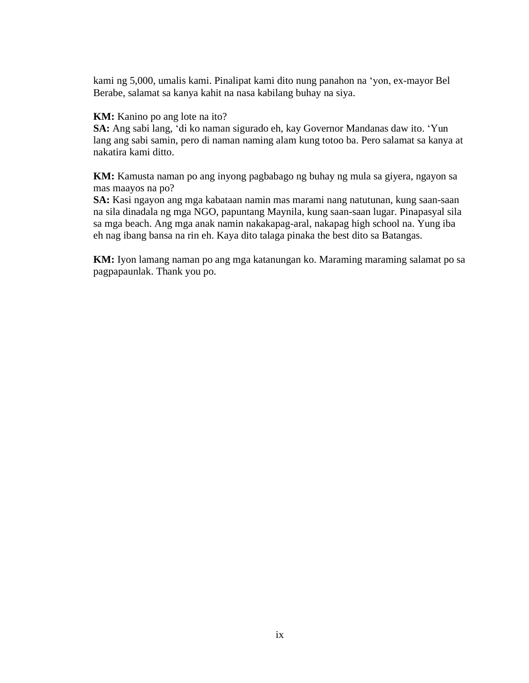kami ng 5,000, umalis kami. Pinalipat kami dito nung panahon na 'yon, ex-mayor Bel Berabe, salamat sa kanya kahit na nasa kabilang buhay na siya.

#### **KM:** Kanino po ang lote na ito?

**SA:** Ang sabi lang, 'di ko naman sigurado eh, kay Governor Mandanas daw ito. 'Yun lang ang sabi samin, pero di naman naming alam kung totoo ba. Pero salamat sa kanya at nakatira kami ditto.

**KM:** Kamusta naman po ang inyong pagbabago ng buhay ng mula sa giyera, ngayon sa mas maayos na po?

**SA:** Kasi ngayon ang mga kabataan namin mas marami nang natutunan, kung saan-saan na sila dinadala ng mga NGO, papuntang Maynila, kung saan-saan lugar. Pinapasyal sila sa mga beach. Ang mga anak namin nakakapag-aral, nakapag high school na. Yung iba eh nag ibang bansa na rin eh. Kaya dito talaga pinaka the best dito sa Batangas.

**KM:** Iyon lamang naman po ang mga katanungan ko. Maraming maraming salamat po sa pagpapaunlak. Thank you po.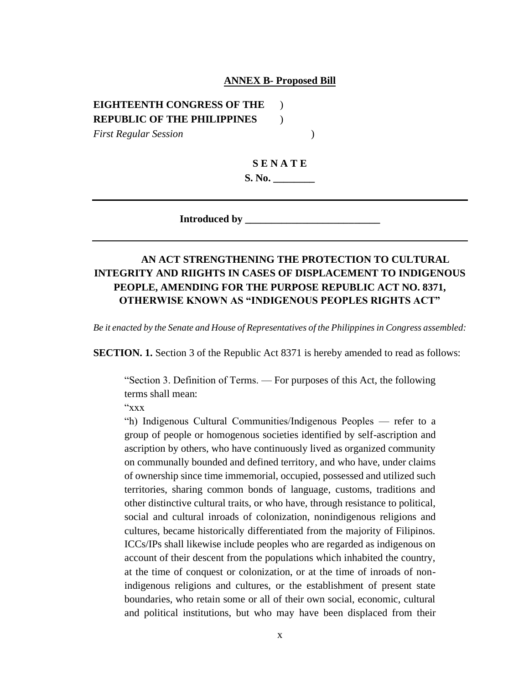#### **ANNEX B- Proposed Bill**

#### **EIGHTEENTH CONGRESS OF THE** ) **REPUBLIC OF THE PHILIPPINES** )

*First Regular Session* )

# **S E N A T E**

**S. No. \_\_\_\_\_\_\_\_**

**Introduced by \_\_\_\_\_\_\_\_\_\_\_\_\_\_\_\_\_\_\_\_\_\_\_\_\_\_**

### **AN ACT STRENGTHENING THE PROTECTION TO CULTURAL INTEGRITY AND RIIGHTS IN CASES OF DISPLACEMENT TO INDIGENOUS PEOPLE, AMENDING FOR THE PURPOSE REPUBLIC ACT NO. 8371, OTHERWISE KNOWN AS "INDIGENOUS PEOPLES RIGHTS ACT"**

*Be it enacted by the Senate and House of Representatives of the Philippines in Congress assembled:*

**SECTION. 1.** Section 3 of the Republic Act 8371 is hereby amended to read as follows:

"Section 3. Definition of Terms. — For purposes of this Act, the following terms shall mean:

"xxx

"h) Indigenous Cultural Communities/Indigenous Peoples — refer to a group of people or homogenous societies identified by self-ascription and ascription by others, who have continuously lived as organized community on communally bounded and defined territory, and who have, under claims of ownership since time immemorial, occupied, possessed and utilized such territories, sharing common bonds of language, customs, traditions and other distinctive cultural traits, or who have, through resistance to political, social and cultural inroads of colonization, nonindigenous religions and cultures, became historically differentiated from the majority of Filipinos. ICCs/IPs shall likewise include peoples who are regarded as indigenous on account of their descent from the populations which inhabited the country, at the time of conquest or colonization, or at the time of inroads of nonindigenous religions and cultures, or the establishment of present state boundaries, who retain some or all of their own social, economic, cultural and political institutions, but who may have been displaced from their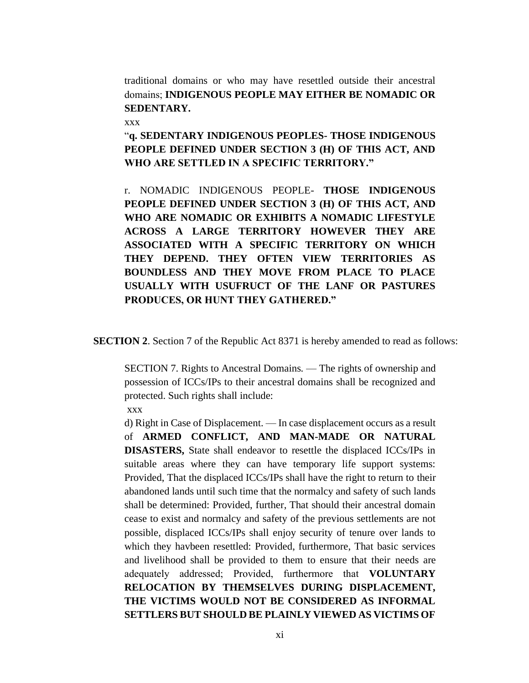traditional domains or who may have resettled outside their ancestral domains; **INDIGENOUS PEOPLE MAY EITHER BE NOMADIC OR SEDENTARY.**

xxx

## "**q. SEDENTARY INDIGENOUS PEOPLES- THOSE INDIGENOUS PEOPLE DEFINED UNDER SECTION 3 (H) OF THIS ACT, AND WHO ARE SETTLED IN A SPECIFIC TERRITORY."**

r. NOMADIC INDIGENOUS PEOPLE- **THOSE INDIGENOUS PEOPLE DEFINED UNDER SECTION 3 (H) OF THIS ACT, AND WHO ARE NOMADIC OR EXHIBITS A NOMADIC LIFESTYLE ACROSS A LARGE TERRITORY HOWEVER THEY ARE ASSOCIATED WITH A SPECIFIC TERRITORY ON WHICH THEY DEPEND. THEY OFTEN VIEW TERRITORIES AS BOUNDLESS AND THEY MOVE FROM PLACE TO PLACE USUALLY WITH USUFRUCT OF THE LANF OR PASTURES PRODUCES, OR HUNT THEY GATHERED."**

**SECTION 2**. Section 7 of the Republic Act 8371 is hereby amended to read as follows:

SECTION 7. Rights to Ancestral Domains. — The rights of ownership and possession of ICCs/IPs to their ancestral domains shall be recognized and protected. Such rights shall include:

xxx

d) Right in Case of Displacement. — In case displacement occurs as a result of **ARMED CONFLICT, AND MAN-MADE OR NATURAL DISASTERS,** State shall endeavor to resettle the displaced ICCs/IPs in suitable areas where they can have temporary life support systems: Provided, That the displaced ICCs/IPs shall have the right to return to their abandoned lands until such time that the normalcy and safety of such lands shall be determined: Provided, further, That should their ancestral domain cease to exist and normalcy and safety of the previous settlements are not possible, displaced ICCs/IPs shall enjoy security of tenure over lands to which they havbeen resettled: Provided, furthermore, That basic services and livelihood shall be provided to them to ensure that their needs are adequately addressed; Provided, furthermore that **VOLUNTARY RELOCATION BY THEMSELVES DURING DISPLACEMENT, THE VICTIMS WOULD NOT BE CONSIDERED AS INFORMAL SETTLERS BUT SHOULD BE PLAINLY VIEWED AS VICTIMS OF**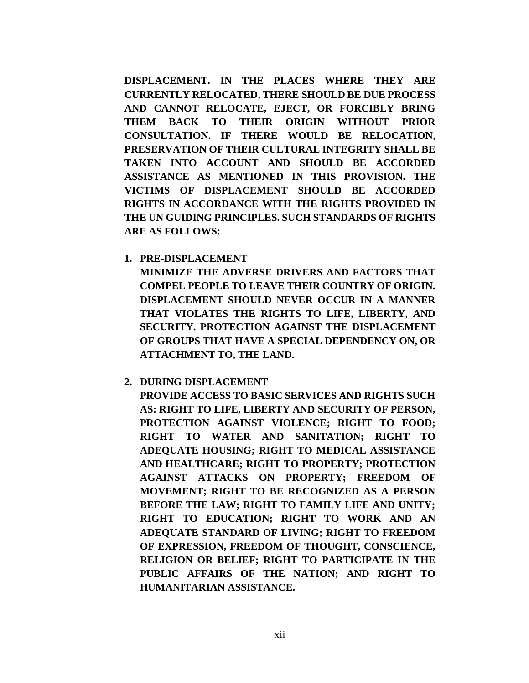**DISPLACEMENT. IN THE PLACES WHERE THEY ARE CURRENTLY RELOCATED, THERE SHOULD BE DUE PROCESS AND CANNOT RELOCATE, EJECT, OR FORCIBLY BRING THEM BACK TO THEIR ORIGIN WITHOUT PRIOR CONSULTATION. IF THERE WOULD BE RELOCATION, PRESERVATION OF THEIR CULTURAL INTEGRITY SHALL BE TAKEN INTO ACCOUNT AND SHOULD BE ACCORDED ASSISTANCE AS MENTIONED IN THIS PROVISION. THE VICTIMS OF DISPLACEMENT SHOULD BE ACCORDED RIGHTS IN ACCORDANCE WITH THE RIGHTS PROVIDED IN THE UN GUIDING PRINCIPLES. SUCH STANDARDS OF RIGHTS ARE AS FOLLOWS:**

**1. PRE-DISPLACEMENT** 

**MINIMIZE THE ADVERSE DRIVERS AND FACTORS THAT COMPEL PEOPLE TO LEAVE THEIR COUNTRY OF ORIGIN. DISPLACEMENT SHOULD NEVER OCCUR IN A MANNER THAT VIOLATES THE RIGHTS TO LIFE, LIBERTY, AND SECURITY. PROTECTION AGAINST THE DISPLACEMENT OF GROUPS THAT HAVE A SPECIAL DEPENDENCY ON, OR ATTACHMENT TO, THE LAND.**

**2. DURING DISPLACEMENT**

**PROVIDE ACCESS TO BASIC SERVICES AND RIGHTS SUCH AS: RIGHT TO LIFE, LIBERTY AND SECURITY OF PERSON, PROTECTION AGAINST VIOLENCE; RIGHT TO FOOD; RIGHT TO WATER AND SANITATION; RIGHT TO ADEQUATE HOUSING; RIGHT TO MEDICAL ASSISTANCE AND HEALTHCARE; RIGHT TO PROPERTY; PROTECTION AGAINST ATTACKS ON PROPERTY; FREEDOM OF MOVEMENT; RIGHT TO BE RECOGNIZED AS A PERSON BEFORE THE LAW; RIGHT TO FAMILY LIFE AND UNITY; RIGHT TO EDUCATION; RIGHT TO WORK AND AN ADEQUATE STANDARD OF LIVING; RIGHT TO FREEDOM OF EXPRESSION, FREEDOM OF THOUGHT, CONSCIENCE, RELIGION OR BELIEF; RIGHT TO PARTICIPATE IN THE PUBLIC AFFAIRS OF THE NATION; AND RIGHT TO HUMANITARIAN ASSISTANCE.**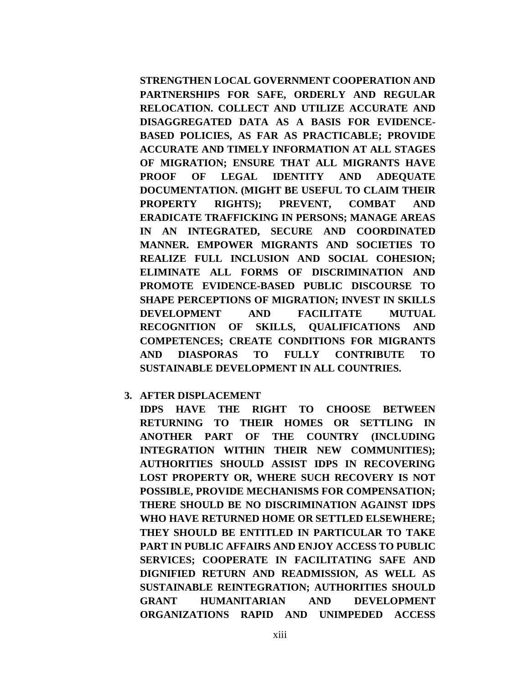**STRENGTHEN LOCAL GOVERNMENT COOPERATION AND PARTNERSHIPS FOR SAFE, ORDERLY AND REGULAR RELOCATION. COLLECT AND UTILIZE ACCURATE AND DISAGGREGATED DATA AS A BASIS FOR EVIDENCE-BASED POLICIES, AS FAR AS PRACTICABLE; PROVIDE ACCURATE AND TIMELY INFORMATION AT ALL STAGES OF MIGRATION; ENSURE THAT ALL MIGRANTS HAVE PROOF OF LEGAL IDENTITY AND ADEQUATE DOCUMENTATION. (MIGHT BE USEFUL TO CLAIM THEIR PROPERTY RIGHTS); PREVENT, COMBAT AND ERADICATE TRAFFICKING IN PERSONS; MANAGE AREAS IN AN INTEGRATED, SECURE AND COORDINATED MANNER. EMPOWER MIGRANTS AND SOCIETIES TO REALIZE FULL INCLUSION AND SOCIAL COHESION; ELIMINATE ALL FORMS OF DISCRIMINATION AND PROMOTE EVIDENCE-BASED PUBLIC DISCOURSE TO SHAPE PERCEPTIONS OF MIGRATION; INVEST IN SKILLS DEVELOPMENT AND FACILITATE MUTUAL RECOGNITION OF SKILLS, QUALIFICATIONS AND COMPETENCES; CREATE CONDITIONS FOR MIGRANTS AND DIASPORAS TO FULLY CONTRIBUTE TO SUSTAINABLE DEVELOPMENT IN ALL COUNTRIES.**

**3. AFTER DISPLACEMENT**

**IDPS HAVE THE RIGHT TO CHOOSE BETWEEN RETURNING TO THEIR HOMES OR SETTLING IN ANOTHER PART OF THE COUNTRY (INCLUDING INTEGRATION WITHIN THEIR NEW COMMUNITIES); AUTHORITIES SHOULD ASSIST IDPS IN RECOVERING LOST PROPERTY OR, WHERE SUCH RECOVERY IS NOT POSSIBLE, PROVIDE MECHANISMS FOR COMPENSATION; THERE SHOULD BE NO DISCRIMINATION AGAINST IDPS WHO HAVE RETURNED HOME OR SETTLED ELSEWHERE; THEY SHOULD BE ENTITLED IN PARTICULAR TO TAKE PART IN PUBLIC AFFAIRS AND ENJOY ACCESS TO PUBLIC SERVICES; COOPERATE IN FACILITATING SAFE AND DIGNIFIED RETURN AND READMISSION, AS WELL AS SUSTAINABLE REINTEGRATION; AUTHORITIES SHOULD GRANT HUMANITARIAN AND DEVELOPMENT ORGANIZATIONS RAPID AND UNIMPEDED ACCESS**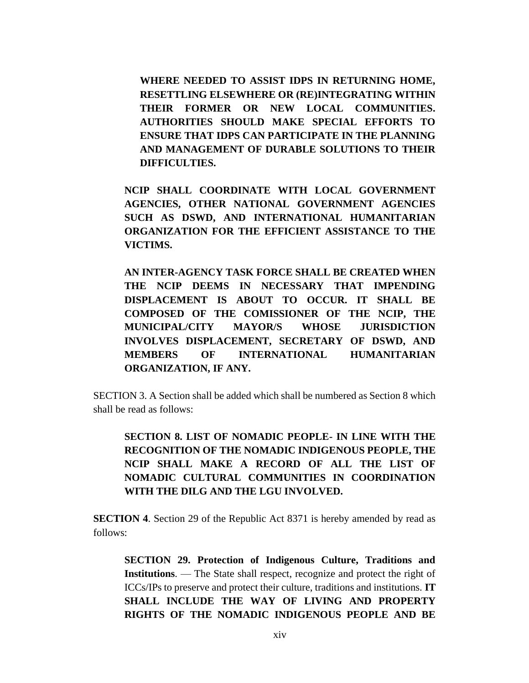**WHERE NEEDED TO ASSIST IDPS IN RETURNING HOME, RESETTLING ELSEWHERE OR (RE)INTEGRATING WITHIN THEIR FORMER OR NEW LOCAL COMMUNITIES. AUTHORITIES SHOULD MAKE SPECIAL EFFORTS TO ENSURE THAT IDPS CAN PARTICIPATE IN THE PLANNING AND MANAGEMENT OF DURABLE SOLUTIONS TO THEIR DIFFICULTIES.**

**NCIP SHALL COORDINATE WITH LOCAL GOVERNMENT AGENCIES, OTHER NATIONAL GOVERNMENT AGENCIES SUCH AS DSWD, AND INTERNATIONAL HUMANITARIAN ORGANIZATION FOR THE EFFICIENT ASSISTANCE TO THE VICTIMS.** 

**AN INTER-AGENCY TASK FORCE SHALL BE CREATED WHEN THE NCIP DEEMS IN NECESSARY THAT IMPENDING DISPLACEMENT IS ABOUT TO OCCUR. IT SHALL BE COMPOSED OF THE COMISSIONER OF THE NCIP, THE MUNICIPAL/CITY MAYOR/S WHOSE JURISDICTION INVOLVES DISPLACEMENT, SECRETARY OF DSWD, AND MEMBERS OF INTERNATIONAL HUMANITARIAN ORGANIZATION, IF ANY.** 

SECTION 3. A Section shall be added which shall be numbered as Section 8 which shall be read as follows:

**SECTION 8. LIST OF NOMADIC PEOPLE- IN LINE WITH THE RECOGNITION OF THE NOMADIC INDIGENOUS PEOPLE, THE NCIP SHALL MAKE A RECORD OF ALL THE LIST OF NOMADIC CULTURAL COMMUNITIES IN COORDINATION WITH THE DILG AND THE LGU INVOLVED.**

**SECTION 4**. Section 29 of the Republic Act 8371 is hereby amended by read as follows:

**SECTION 29. Protection of Indigenous Culture, Traditions and Institutions**. — The State shall respect, recognize and protect the right of ICCs/IPs to preserve and protect their culture, traditions and institutions. **IT SHALL INCLUDE THE WAY OF LIVING AND PROPERTY RIGHTS OF THE NOMADIC INDIGENOUS PEOPLE AND BE**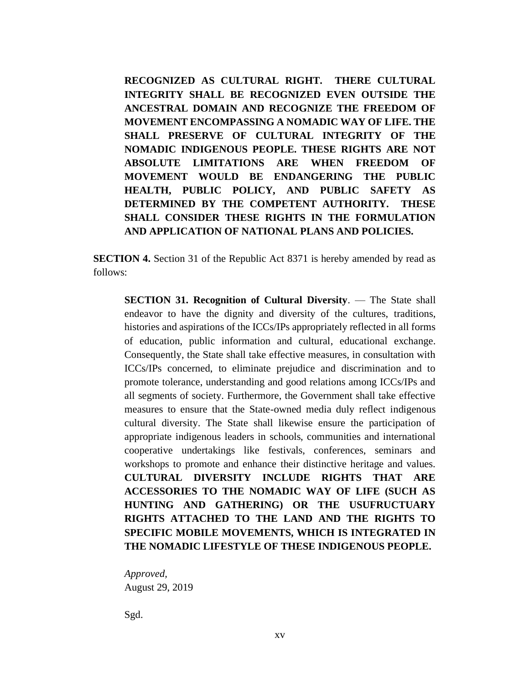**RECOGNIZED AS CULTURAL RIGHT. THERE CULTURAL INTEGRITY SHALL BE RECOGNIZED EVEN OUTSIDE THE ANCESTRAL DOMAIN AND RECOGNIZE THE FREEDOM OF MOVEMENT ENCOMPASSING A NOMADIC WAY OF LIFE. THE SHALL PRESERVE OF CULTURAL INTEGRITY OF THE NOMADIC INDIGENOUS PEOPLE. THESE RIGHTS ARE NOT ABSOLUTE LIMITATIONS ARE WHEN FREEDOM OF MOVEMENT WOULD BE ENDANGERING THE PUBLIC HEALTH, PUBLIC POLICY, AND PUBLIC SAFETY AS DETERMINED BY THE COMPETENT AUTHORITY. THESE SHALL CONSIDER THESE RIGHTS IN THE FORMULATION AND APPLICATION OF NATIONAL PLANS AND POLICIES.**

**SECTION 4.** Section 31 of the Republic Act 8371 is hereby amended by read as follows:

**SECTION 31. Recognition of Cultural Diversity**. — The State shall endeavor to have the dignity and diversity of the cultures, traditions, histories and aspirations of the ICCs/IPs appropriately reflected in all forms of education, public information and cultural, educational exchange. Consequently, the State shall take effective measures, in consultation with ICCs/IPs concerned, to eliminate prejudice and discrimination and to promote tolerance, understanding and good relations among ICCs/IPs and all segments of society. Furthermore, the Government shall take effective measures to ensure that the State-owned media duly reflect indigenous cultural diversity. The State shall likewise ensure the participation of appropriate indigenous leaders in schools, communities and international cooperative undertakings like festivals, conferences, seminars and workshops to promote and enhance their distinctive heritage and values. **CULTURAL DIVERSITY INCLUDE RIGHTS THAT ARE ACCESSORIES TO THE NOMADIC WAY OF LIFE (SUCH AS HUNTING AND GATHERING) OR THE USUFRUCTUARY RIGHTS ATTACHED TO THE LAND AND THE RIGHTS TO SPECIFIC MOBILE MOVEMENTS, WHICH IS INTEGRATED IN THE NOMADIC LIFESTYLE OF THESE INDIGENOUS PEOPLE.** 

*Approved,* August 29, 2019

Sgd.